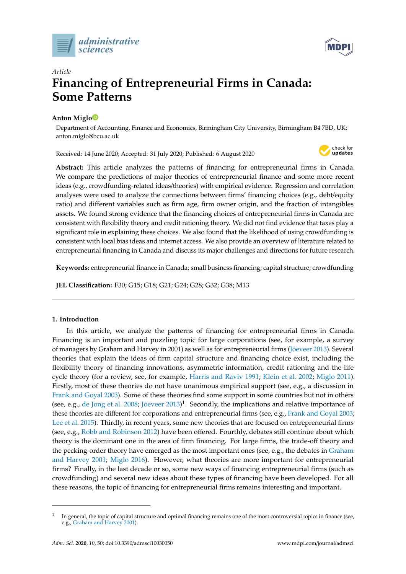



# *Article* **Financing of Entrepreneurial Firms in Canada: Some Patterns**

# **Anton Migl[o](https://orcid.org/0000-0002-9237-5293)**

Department of Accounting, Finance and Economics, Birmingham City University, Birmingham B4 7BD, UK; anton.miglo@bcu.ac.uk

Received: 14 June 2020; Accepted: 31 July 2020; Published: 6 August 2020



**Abstract:** This article analyzes the patterns of financing for entrepreneurial firms in Canada. We compare the predictions of major theories of entrepreneurial finance and some more recent ideas (e.g., crowdfunding-related ideas/theories) with empirical evidence. Regression and correlation analyses were used to analyze the connections between firms' financing choices (e.g., debt/equity ratio) and different variables such as firm age, firm owner origin, and the fraction of intangibles assets. We found strong evidence that the financing choices of entrepreneurial firms in Canada are consistent with flexibility theory and credit rationing theory. We did not find evidence that taxes play a significant role in explaining these choices. We also found that the likelihood of using crowdfunding is consistent with local bias ideas and internet access. We also provide an overview of literature related to entrepreneurial financing in Canada and discuss its major challenges and directions for future research.

**Keywords:** entrepreneurial finance in Canada; small business financing; capital structure; crowdfunding

**JEL Classification:** F30; G15; G18; G21; G24; G28; G32; G38; M13

# **1. Introduction**

In this article, we analyze the patterns of financing for entrepreneurial firms in Canada. Financing is an important and puzzling topic for large corporations (see, for example, a survey of managers by Graham and Harvey in 2001) as well as for entrepreneurial firms (Jõ[eveer](#page-24-0) [2013\)](#page-24-0). Several theories that explain the ideas of firm capital structure and financing choice exist, including the flexibility theory of financing innovations, asymmetric information, credit rationing and the life cycle theory (for a review, see, for example, [Harris and Raviv](#page-24-1) [1991;](#page-24-1) [Klein et al.](#page-24-2) [2002;](#page-24-2) [Miglo](#page-25-0) [2011\)](#page-25-0). Firstly, most of these theories do not have unanimous empirical support (see, e.g., a discussion in [Frank and Goyal](#page-24-3) [2003\)](#page-24-3). Some of these theories find some support in some countries but not in others (see, e.g., [de Jong et al.](#page-23-0) 2008, Jõ[eveer](#page-24-0) [2013\)](#page-24-0)<sup>1</sup>. Secondly, the implications and relative importance of these theories are different for corporations and entrepreneurial firms (see, e.g., [Frank and Goyal](#page-24-3) [2003;](#page-24-3) [Lee et al.](#page-25-1) [2015\)](#page-25-1). Thirdly, in recent years, some new theories that are focused on entrepreneurial firms (see, e.g., [Robb and Robinson](#page-25-2) [2012\)](#page-25-2) have been offered. Fourthly, debates still continue about which theory is the dominant one in the area of firm financing. For large firms, the trade-off theory and the pecking-order theory have emerged as the most important ones (see, e.g., the debates in [Graham](#page-24-4) [and Harvey](#page-24-4) [2001;](#page-24-4) [Miglo](#page-25-3) [2016\)](#page-25-3). However, what theories are more important for entrepreneurial firms? Finally, in the last decade or so, some new ways of financing entrepreneurial firms (such as crowdfunding) and several new ideas about these types of financing have been developed. For all these reasons, the topic of financing for entrepreneurial firms remains interesting and important.

<sup>1</sup> In general, the topic of capital structure and optimal financing remains one of the most controversial topics in finance (see, e.g., [Graham and Harvey](#page-24-4) [2001\)](#page-24-4).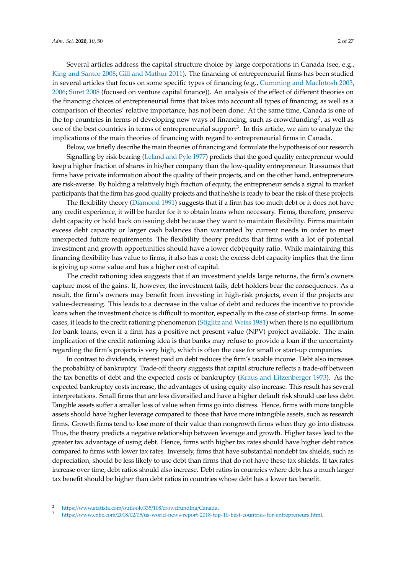Several articles address the capital structure choice by large corporations in Canada (see, e.g., [King and Santor](#page-24-5) [2008;](#page-24-5) [Gill and Mathur](#page-24-6) [2011\)](#page-24-6). The financing of entrepreneurial firms has been studied in several articles that focus on some specific types of financing (e.g., [Cumming and MacIntosh](#page-23-1) [2003,](#page-23-1) [2006;](#page-23-2) [Suret](#page-26-0) [2008](#page-26-0) (focused on venture capital finance)). An analysis of the effect of different theories on the financing choices of entrepreneurial firms that takes into account all types of financing, as well as a comparison of theories' relative importance, has not been done. At the same time, Canada is one of the top countries in terms of developing new ways of financing, such as crowdfunding<sup>2</sup>, as well as one of the best countries in terms of entrepreneurial support<sup>3</sup>. In this article, we aim to analyze the implications of the main theories of financing with regard to entrepreneurial firms in Canada.

Below, we briefly describe the main theories of financing and formulate the hypothesis of our research.

Signalling by risk-bearing [\(Leland and Pyle](#page-25-4) [1977\)](#page-25-4) predicts that the good quality entrepreneur would keep a higher fraction of shares in his/her company than the low-quality entrepreneur. It assumes that firms have private information about the quality of their projects, and on the other hand, entrepreneurs are risk-averse. By holding a relatively high fraction of equity, the entrepreneur sends a signal to market participants that the firm has good quality projects and that he/she is ready to bear the risk of these projects.

The flexibility theory [\(Diamond](#page-23-3) [1991\)](#page-23-3) suggests that if a firm has too much debt or it does not have any credit experience, it will be harder for it to obtain loans when necessary. Firms, therefore, preserve debt capacity or hold back on issuing debt because they want to maintain flexibility. Firms maintain excess debt capacity or larger cash balances than warranted by current needs in order to meet unexpected future requirements. The flexibility theory predicts that firms with a lot of potential investment and growth opportunities should have a lower debt/equity ratio. While maintaining this financing flexibility has value to firms, it also has a cost; the excess debt capacity implies that the firm is giving up some value and has a higher cost of capital.

The credit rationing idea suggests that if an investment yields large returns, the firm's owners capture most of the gains. If, however, the investment fails, debt holders bear the consequences. As a result, the firm's owners may benefit from investing in high-risk projects, even if the projects are value-decreasing. This leads to a decrease in the value of debt and reduces the incentive to provide loans when the investment choice is difficult to monitor, especially in the case of start-up firms. In some cases, it leads to the credit rationing phenomenon [\(Stiglitz and Weiss](#page-26-1) [1981\)](#page-26-1) when there is no equilibrium for bank loans, even if a firm has a positive net present value (NPV) project available. The main implication of the credit rationing idea is that banks may refuse to provide a loan if the uncertainty regarding the firm's projects is very high, which is often the case for small or start-up companies.

In contrast to dividends, interest paid on debt reduces the firm's taxable income. Debt also increases the probability of bankruptcy. Trade-off theory suggests that capital structure reflects a trade-off between the tax benefits of debt and the expected costs of bankruptcy [\(Kraus and Litzenberger](#page-24-7) [1973\)](#page-24-7). As the expected bankruptcy costs increase, the advantages of using equity also increase. This result has several interpretations. Small firms that are less diversified and have a higher default risk should use less debt. Tangible assets suffer a smaller loss of value when firms go into distress. Hence, firms with more tangible assets should have higher leverage compared to those that have more intangible assets, such as research firms. Growth firms tend to lose more of their value than nongrowth firms when they go into distress. Thus, the theory predicts a negative relationship between leverage and growth. Higher taxes lead to the greater tax advantage of using debt. Hence, firms with higher tax rates should have higher debt ratios compared to firms with lower tax rates. Inversely, firms that have substantial nondebt tax shields, such as depreciation, should be less likely to use debt than firms that do not have these tax shields. If tax rates increase over time, debt ratios should also increase. Debt ratios in countries where debt has a much larger tax benefit should be higher than debt ratios in countries whose debt has a lower tax benefit.

<sup>2</sup> https://[www.statista.com](https://www.statista.com/outlook/335/108/crowdfunding/Canada)/outlook/335/108/crowdfunding/Canada.<br>3 https://www.cphe.com/2018/02/05/us-world-news-report-2018-tor

<sup>3</sup> https://www.cnbc.com/2018/02/05/[us-world-news-report-2018-top-10-best-countries-for-entrepreneurs.html.](https://www.cnbc.com/2018/02/05/us-world-news-report-2018-top-10-best-countries-for-entrepreneurs.html)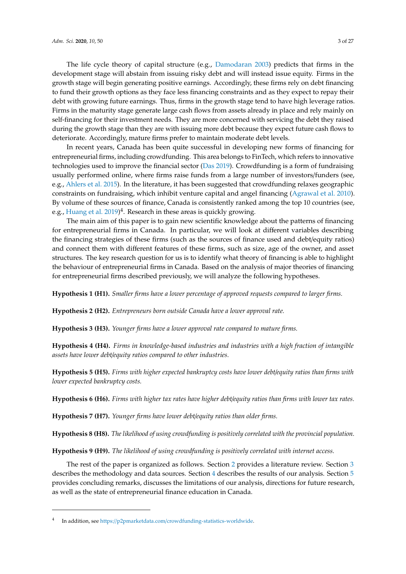The life cycle theory of capital structure (e.g., [Damodaran](#page-23-4) [2003\)](#page-23-4) predicts that firms in the development stage will abstain from issuing risky debt and will instead issue equity. Firms in the growth stage will begin generating positive earnings. Accordingly, these firms rely on debt financing to fund their growth options as they face less financing constraints and as they expect to repay their debt with growing future earnings. Thus, firms in the growth stage tend to have high leverage ratios. Firms in the maturity stage generate large cash flows from assets already in place and rely mainly on self-financing for their investment needs. They are more concerned with servicing the debt they raised during the growth stage than they are with issuing more debt because they expect future cash flows to deteriorate. Accordingly, mature firms prefer to maintain moderate debt levels.

In recent years, Canada has been quite successful in developing new forms of financing for entrepreneurial firms, including crowdfunding. This area belongs to FinTech, which refers to innovative technologies used to improve the financial sector [\(Das](#page-23-5) [2019\)](#page-23-5). Crowdfunding is a form of fundraising usually performed online, where firms raise funds from a large number of investors/funders (see, e.g., [Ahlers et al.](#page-22-0) [2015\)](#page-22-0). In the literature, it has been suggested that crowdfunding relaxes geographic constraints on fundraising, which inhibit venture capital and angel financing [\(Agrawal et al.](#page-22-1) [2010\)](#page-22-1). By volume of these sources of finance, Canada is consistently ranked among the top 10 countries (see, e.g., [Huang et al.](#page-24-8) [2019\)](#page-24-8)<sup>4</sup>. Research in these areas is quickly growing.

The main aim of this paper is to gain new scientific knowledge about the patterns of financing for entrepreneurial firms in Canada. In particular, we will look at different variables describing the financing strategies of these firms (such as the sources of finance used and debt/equity ratios) and connect them with different features of these firms, such as size, age of the owner, and asset structures. The key research question for us is to identify what theory of financing is able to highlight the behaviour of entrepreneurial firms in Canada. Based on the analysis of major theories of financing for entrepreneurial firms described previously, we will analyze the following hypotheses.

**Hypothesis 1 (H1).** *Smaller firms have a lower percentage of approved requests compared to larger firms.*

**Hypothesis 2 (H2).** *Entrepreneurs born outside Canada have a lower approval rate.*

**Hypothesis 3 (H3).** *Younger firms have a lower approval rate compared to mature firms.*

**Hypothesis 4 (H4).** *Firms in knowledge-based industries and industries with a high fraction of intangible assets have lower debt*/*equity ratios compared to other industries.*

**Hypothesis 5 (H5).** *Firms with higher expected bankruptcy costs have lower debt*/*equity ratios than firms with lower expected bankruptcy costs.*

**Hypothesis 6 (H6).** *Firms with higher tax rates have higher debt*/*equity ratios than firms with lower tax rates.*

**Hypothesis 7 (H7).** *Younger firms have lower debt*/*equity ratios than older firms.*

**Hypothesis 8 (H8).** *The likelihood of using crowdfunding is positively correlated with the provincial population.*

**Hypothesis 9 (H9).** *The likelihood of using crowdfunding is positively correlated with internet access.*

The rest of the paper is organized as follows. Section [2](#page-3-0) provides a literature review. Section [3](#page-4-0) describes the methodology and data sources. Section [4](#page-5-0) describes the results of our analysis. Section [5](#page-11-0) provides concluding remarks, discusses the limitations of our analysis, directions for future research, as well as the state of entrepreneurial finance education in Canada.

<sup>4</sup> In addition, see https://p2pmarketdata.com/[crowdfunding-statistics-worldwide.](https://p2pmarketdata.com/crowdfunding-statistics-worldwide)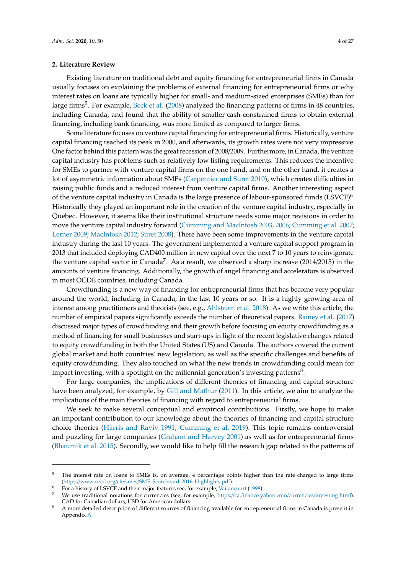## <span id="page-3-0"></span>**2. Literature Review**

Existing literature on traditional debt and equity financing for entrepreneurial firms in Canada usually focuses on explaining the problems of external financing for entrepreneurial firms or why interest rates on loans are typically higher for small- and medium-sized enterprises (SMEs) than for large firms<sup>5</sup>. For example, [Beck et al.](#page-23-6) [\(2008\)](#page-23-6) analyzed the financing patterns of firms in 48 countries, including Canada, and found that the ability of smaller cash-constrained firms to obtain external financing, including bank financing, was more limited as compared to larger firms.

Some literature focuses on venture capital financing for entrepreneurial firms. Historically, venture capital financing reached its peak in 2000, and afterwards, its growth rates were not very impressive. One factor behind this pattern was the great recession of 2008/2009. Furthermore, in Canada, the venture capital industry has problems such as relatively low listing requirements. This reduces the incentive for SMEs to partner with venture capital firms on the one hand, and on the other hand, it creates a lot of asymmetric information about SMEs [\(Carpentier and Suret](#page-23-7) [2010\)](#page-23-7), which creates difficulties in raising public funds and a reduced interest from venture capital firms. Another interesting aspect of the venture capital industry in Canada is the large presence of labour-sponsored funds  $(LSVCF)^6$ . Historically they played an important role in the creation of the venture capital industry, especially in Quebec. However, it seems like their institutional structure needs some major revisions in order to move the venture capital industry forward [\(Cumming and MacIntosh](#page-23-1) [2003,](#page-23-1) [2006;](#page-23-2) [Cumming et al.](#page-23-8) [2007;](#page-23-8) [Lerner](#page-25-5) [2009;](#page-25-5) [MacIntosh](#page-25-6) [2012;](#page-25-6) [Suret](#page-26-0) [2008\)](#page-26-0). There have been some improvements in the venture capital industry during the last 10 years. The government implemented a venture capital support program in 2013 that included deploying CAD400 million in new capital over the next 7 to 10 years to reinvigorate the venture capital sector in Canada<sup>7</sup>. As a result, we observed a sharp increase (2014/2015) in the amounts of venture financing. Additionally, the growth of angel financing and accelerators is observed in most OCDE countries, including Canada.

Crowdfunding is a new way of financing for entrepreneurial firms that has become very popular around the world, including in Canada, in the last 10 years or so. It is a highly growing area of interest among practitioners and theorists (see, e.g., [Ahlstrom et al.](#page-22-2) [2018\)](#page-22-2). As we write this article, the number of empirical papers significantly exceeds the number of theoretical papers. [Rainey et al.](#page-25-7) [\(2017\)](#page-25-7) discussed major types of crowdfunding and their growth before focusing on equity crowdfunding as a method of financing for small businesses and start-ups in light of the recent legislative changes related to equity crowdfunding in both the United States (US) and Canada. The authors covered the current global market and both countries' new legislation, as well as the specific challenges and benefits of equity crowdfunding. They also touched on what the new trends in crowdfunding could mean for impact investing, with a spotlight on the millennial generation's investing patterns $^8$ .

For large companies, the implications of different theories of financing and capital structure have been analyzed, for example, by [Gill and Mathur](#page-24-6) [\(2011\)](#page-24-6). In this article, we aim to analyze the implications of the main theories of financing with regard to entrepreneurial firms.

We seek to make several conceptual and empirical contributions. Firstly, we hope to make an important contribution to our knowledge about the theories of financing and capital structure choice theories [\(Harris and Raviv](#page-24-1) [1991;](#page-24-1) [Cumming et al.](#page-23-9) [2019\)](#page-23-9). This topic remains controversial and puzzling for large companies [\(Graham and Harvey](#page-24-4) [2001\)](#page-24-4) as well as for entrepreneurial firms [\(Bhaumik et al.](#page-23-10) [2015\)](#page-23-10). Secondly, we would like to help fill the research gap related to the patterns of

The interest rate on loans to SMEs is, on average, 4 percentage points higher than the rate charged to large firms (https://www.oecd.org/cfe/smes/[SME-Scoreboard-2016-Highlights.pdf\)](https://www.oecd.org/cfe/smes/SME-Scoreboard-2016-Highlights.pdf).

For a history of LSVCF and their major features see, for example, [Vaiiancourt](#page-26-2) [\(1998\)](#page-26-2).

<sup>7</sup> We use traditional notations for currencies (see, for example, https://[ca.finance.yahoo.com](https://ca.finance.yahoo.com/currencies/investing.html)/currencies/investing.html): CAD for Canadian dollars, USD for American dollars.

<sup>8</sup> A more detailed description of different sources of financing available for entrepreneurial firms in Canada is present in Appendix [A.](#page-12-0)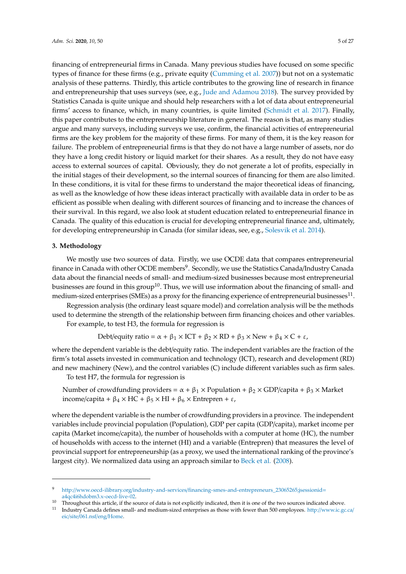financing of entrepreneurial firms in Canada. Many previous studies have focused on some specific types of finance for these firms (e.g., private equity [\(Cumming et al.](#page-23-8) [2007\)](#page-23-8)) but not on a systematic analysis of these patterns. Thirdly, this article contributes to the growing line of research in finance and entrepreneurship that uses surveys (see, e.g., [Jude and Adamou](#page-24-9) [2018\)](#page-24-9). The survey provided by Statistics Canada is quite unique and should help researchers with a lot of data about entrepreneurial firms' access to finance, which, in many countries, is quite limited [\(Schmidt et al.](#page-25-8) [2017\)](#page-25-8). Finally, this paper contributes to the entrepreneurship literature in general. The reason is that, as many studies argue and many surveys, including surveys we use, confirm, the financial activities of entrepreneurial firms are the key problem for the majority of these firms. For many of them, it is the key reason for failure. The problem of entrepreneurial firms is that they do not have a large number of assets, nor do they have a long credit history or liquid market for their shares. As a result, they do not have easy access to external sources of capital. Obviously, they do not generate a lot of profits, especially in the initial stages of their development, so the internal sources of financing for them are also limited. In these conditions, it is vital for these firms to understand the major theoretical ideas of financing, as well as the knowledge of how these ideas interact practically with available data in order to be as efficient as possible when dealing with different sources of financing and to increase the chances of their survival. In this regard, we also look at student education related to entrepreneurial finance in Canada. The quality of this education is crucial for developing entrepreneurial finance and, ultimately, for developing entrepreneurship in Canada (for similar ideas, see, e.g., [Solesvik et al.](#page-25-9) [2014\)](#page-25-9).

#### <span id="page-4-0"></span>**3. Methodology**

We mostly use two sources of data. Firstly, we use OCDE data that compares entrepreneurial finance in Canada with other OCDE members $^9$ . Secondly, we use the Statistics Canada/Industry Canada data about the financial needs of small- and medium-sized businesses because most entrepreneurial businesses are found in this group<sup>10</sup>. Thus, we will use information about the financing of small- and medium-sized enterprises (SMEs) as a proxy for the financing experience of entrepreneurial businesses<sup>11</sup>.

Regression analysis (the ordinary least square model) and correlation analysis will be the methods used to determine the strength of the relationship between firm financing choices and other variables.

For example, to test H3, the formula for regression is

Debt/equity ratio = 
$$
\alpha + \beta_1 \times ICT + \beta_2 \times RD + \beta_3 \times New + \beta_4 \times C + \epsilon
$$
,

where the dependent variable is the debt/equity ratio. The independent variables are the fraction of the firm's total assets invested in communication and technology (ICT), research and development (RD) and new machinery (New), and the control variables (C) include different variables such as firm sales.

To test H7, the formula for regression is

Number of crowdfunding providers =  $\alpha + \beta_1 \times$  Population +  $\beta_2 \times$  GDP/capita +  $\beta_3 \times$  Market income/capita +  $\beta_4 \times$  HC +  $\beta_5 \times$  HI +  $\beta_6 \times$  Entrepren + ε,

where the dependent variable is the number of crowdfunding providers in a province. The independent variables include provincial population (Population), GDP per capita (GDP/capita), market income per capita (Market income/capita), the number of households with a computer at home (HC), the number of households with access to the internet (HI) and a variable (Entrepren) that measures the level of provincial support for entrepreneurship (as a proxy, we used the international ranking of the province's largest city). We normalized data using an approach similar to [Beck et al.](#page-23-6) [\(2008\)](#page-23-6).

http://www.oecd-ilibrary.org/industry-and-services/[financing-smes-and-entrepreneurs\\_23065265;jsessionid](http://www.oecd-ilibrary.org/industry-and-services/financing-smes-and-entrepreneurs_23065265;jsessionid=a4qc4i6hdobm3.x-oecd-live-02)= [a4qc4i6hdobm3.x-oecd-live-02.](http://www.oecd-ilibrary.org/industry-and-services/financing-smes-and-entrepreneurs_23065265;jsessionid=a4qc4i6hdobm3.x-oecd-live-02)

<sup>&</sup>lt;sup>10</sup> Throughout this article, if the source of data is not explicitly indicated, then it is one of the two sources indicated above.

<sup>11</sup> Industry Canada defines small- and medium-sized enterprises as those with fewer than 500 employees. http://[www.ic.gc.ca](http://www.ic.gc.ca/eic/site/061.nsf/eng/Home)/ eic/site/[061.nsf](http://www.ic.gc.ca/eic/site/061.nsf/eng/Home)/eng/Home.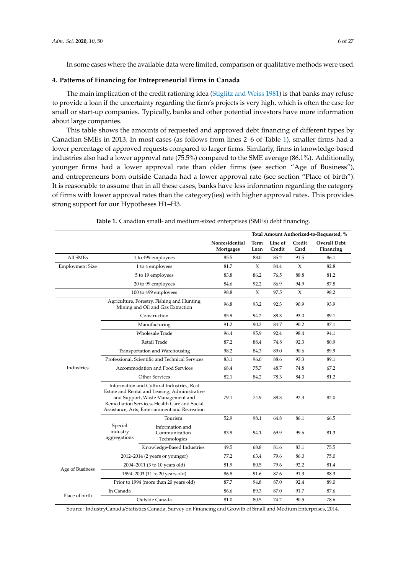In some cases where the available data were limited, comparison or qualitative methods were used.

#### <span id="page-5-0"></span>**4. Patterns of Financing for Entrepreneurial Firms in Canada**

The main implication of the credit rationing idea [\(Stiglitz and Weiss](#page-26-1) [1981\)](#page-26-1) is that banks may refuse to provide a loan if the uncertainty regarding the firm's projects is very high, which is often the case for small or start-up companies. Typically, banks and other potential investors have more information about large companies.

This table shows the amounts of requested and approved debt financing of different types by Canadian SMEs in 2013. In most cases (as follows from lines 2–6 of Table [1\)](#page-5-1), smaller firms had a lower percentage of approved requests compared to larger firms. Similarly, firms in knowledge-based industries also had a lower approval rate (75.5%) compared to the SME average (86.1%). Additionally, younger firms had a lower approval rate than older firms (see section "Age of Business"), and entrepreneurs born outside Canada had a lower approval rate (see section "Place of birth"). It is reasonable to assume that in all these cases, banks have less information regarding the category of firms with lower approval rates than the category(ies) with higher approval rates. This provides strong support for our Hypotheses H1–H3.

<span id="page-5-1"></span>

|                        |                                                                                                                                                                                                                                   |                                                                                  |                             | Total Amount Authorized-to-Requested, % |                   |                |                           |  |
|------------------------|-----------------------------------------------------------------------------------------------------------------------------------------------------------------------------------------------------------------------------------|----------------------------------------------------------------------------------|-----------------------------|-----------------------------------------|-------------------|----------------|---------------------------|--|
|                        |                                                                                                                                                                                                                                   |                                                                                  | Nonresidential<br>Mortgages | Term<br>Loan                            | Line of<br>Credit | Credit<br>Card | Overall Debt<br>Financing |  |
| All SMEs               |                                                                                                                                                                                                                                   | 1 to 499 employees                                                               | 85.5                        | 88.0                                    | 85.2              | 91.5           | 86.1                      |  |
| <b>Employment Size</b> |                                                                                                                                                                                                                                   | 1 to 4 employees                                                                 | 81.7                        | X                                       | 84.4              | X              | 82.8                      |  |
|                        |                                                                                                                                                                                                                                   | 5 to 19 employees                                                                | 83.8                        | 86.2                                    | 76.5              | 88.8           | 81.2                      |  |
|                        |                                                                                                                                                                                                                                   | 20 to 99 employees                                                               | 84.6                        | 92.2                                    | 86.9              | 94.9           | 87.8                      |  |
|                        |                                                                                                                                                                                                                                   | 100 to 499 employees                                                             | 98.8                        | X                                       | 97.5              | X              | 98.2                      |  |
|                        |                                                                                                                                                                                                                                   | Agriculture, Forestry, Fishing and Hunting,<br>Mining and Oil and Gas Extraction | 96.8                        | 93.2                                    | 92.3              | 90.9           | 93.9                      |  |
|                        |                                                                                                                                                                                                                                   | Construction                                                                     | 85.9                        | 94.2                                    | 88.3              | 93.0           | 89.1                      |  |
|                        |                                                                                                                                                                                                                                   | Manufacturing                                                                    | 91.2                        | 90.2                                    | 84.7              | 90.2           | 87.1                      |  |
|                        | Wholesale Trade                                                                                                                                                                                                                   | 96.4                                                                             | 95.9                        | 92.4                                    | 98.4              | 94.1           |                           |  |
|                        |                                                                                                                                                                                                                                   | 87.2                                                                             | 88.4                        | 74.8                                    | 92.3              | 80.9           |                           |  |
|                        | Transportation and Warehousing                                                                                                                                                                                                    | 98.2                                                                             | 84.3                        | 89.0                                    | 90.6              | 89.9           |                           |  |
|                        | Professional, Scientific and Technical Services                                                                                                                                                                                   | 83.1                                                                             | 96.0                        | 88.6                                    | 93.3              | 89.1           |                           |  |
| Industries             | Accommodation and Food Services                                                                                                                                                                                                   | 68.4                                                                             | 75.7                        | 48.7                                    | 74.8              | 67.2           |                           |  |
|                        | <b>Other Services</b>                                                                                                                                                                                                             | 82.1                                                                             | 84.2                        | 78.3                                    | 84.0              | 81.2           |                           |  |
|                        | Information and Cultural Industries, Real<br>Estate and Rental and Leasing, Administrative<br>and Support, Waste Management and<br>Remediation Services, Health Care and Social<br>Assistance, Arts, Entertainment and Recreation | 79.1                                                                             | 74.9                        | 88.3                                    | 92.3              | 82.0           |                           |  |
|                        |                                                                                                                                                                                                                                   | Tourism                                                                          | 52.9                        | 98.1                                    | 64.8              | 86.1           | 66.5                      |  |
|                        | Special<br>industry<br>aggregations                                                                                                                                                                                               | Information and<br>Communication<br>Technologies                                 | 83.9                        | 94.1                                    | 69.9              | 99.6           | 81.3                      |  |
|                        | Knowledge-Based Industries                                                                                                                                                                                                        |                                                                                  | 49.5                        | 68.8                                    | 81.6              | 83.1           | 75.5                      |  |
|                        |                                                                                                                                                                                                                                   | 2012-2014 (2 years or younger)                                                   | 77.2                        | 63.4                                    | 79.6              | 86.0           | 75.0                      |  |
| Age of Business        |                                                                                                                                                                                                                                   | 2004–2011 (3 to 10 years old)                                                    | 81.9                        | 80.5                                    | 79.6              | 92.2           | 81.4                      |  |
|                        |                                                                                                                                                                                                                                   | 1994-2003 (11 to 20 years old)                                                   | 86.8                        | 91.6                                    | 87.6              | 91.3           | 88.3                      |  |
|                        |                                                                                                                                                                                                                                   | Prior to 1994 (more than 20 years old)                                           | 87.7                        | 94.8                                    | 87.0              | 92.4           | 89.0                      |  |
|                        | In Canada                                                                                                                                                                                                                         |                                                                                  | 86.6                        | 89.3                                    | 87.0              | 91.7           | 87.6                      |  |
| Place of birth         |                                                                                                                                                                                                                                   | Outside Canada                                                                   | 81.0                        | 80.5                                    | 74.2              | 90.5           | 78.6                      |  |

**Table 1.** Canadian small- and medium-sized enterprises (SMEs) debt financing.

Source: IndustryCanada/Statistics Canada, Survey on Financing and Growth of Small and Medium Enterprises, 2014.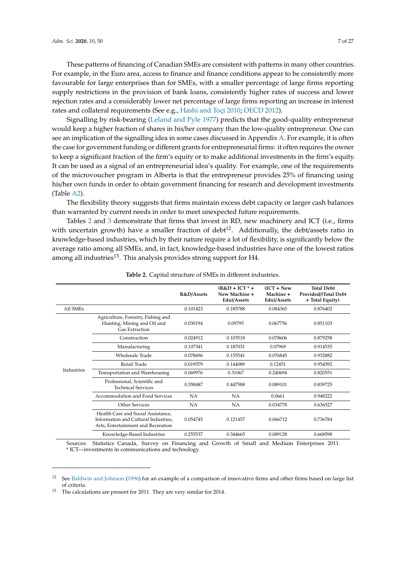These patterns of financing of Canadian SMEs are consistent with patterns in many other countries. For example, in the Euro area, access to finance and finance conditions appear to be consistently more favourable for large enterprises than for SMEs, with a smaller percentage of large firms reporting supply restrictions in the provision of bank loans, consistently higher rates of success and lower rejection rates and a considerably lower net percentage of large firms reporting an increase in interest rates and collateral requirements (See e.g., [Hashi and Toçi](#page-24-10) [2010;](#page-24-10) [OECD](#page-25-10) [2012\)](#page-25-10).

Signalling by risk-bearing [\(Leland and Pyle](#page-25-4) [1977\)](#page-25-4) predicts that the good-quality entrepreneur would keep a higher fraction of shares in his/her company than the low-quality entrepreneur. One can see an implication of the signalling idea in some cases discussed in Appendix [A.](#page-12-0) For example, it is often the case for government funding or different grants for entrepreneurial firms: it often requires the owner to keep a significant fraction of the firm's equity or to make additional investments in the firm's equity. It can be used as a signal of an entrepreneurial idea's quality. For example, one of the requirements of the microvoucher program in Alberta is that the entrepreneur provides 25% of financing using his/her own funds in order to obtain government financing for research and development investments (Table [A2\)](#page-14-0).

The flexibility theory suggests that firms maintain excess debt capacity or larger cash balances than warranted by current needs in order to meet unexpected future requirements.

Tables [2](#page-6-0) and [3](#page-7-0) demonstrate that firms that invest in RD, new machinery and ICT (i.e., firms with uncertain growth) have a smaller fraction of debt<sup>12</sup>. Additionally, the debt/assets ratio in knowledge-based industries, which by their nature require a lot of flexibility, is significantly below the average ratio among all SMEs, and, in fact, knowledge-based industries have one of the lowest ratios among all industries<sup>13</sup>. This analysis provides strong support for H4.

<span id="page-6-0"></span>

|            |                                                                                                                  | R&D/Assets | $(R&D + ICT * +$<br>New Machine +<br>Edu)/Assets | $(ICT + New)$<br>Machine +<br>Edu)/Assets | <b>Total Debt</b><br>Provided/(Total Debt<br>+ Total Equity) |
|------------|------------------------------------------------------------------------------------------------------------------|------------|--------------------------------------------------|-------------------------------------------|--------------------------------------------------------------|
| All SMEs   |                                                                                                                  | 0.101423   | 0.185788                                         | 0.084365                                  | 0.876402                                                     |
|            | Agriculture, Forestry, Fishing and<br>Hunting, Mining and Oil and<br>Gas Extraction                              | 0.030194   | 0.09795                                          | 0.067756                                  | 0.851103                                                     |
|            | Construction                                                                                                     | 0.024912   | 0.103518                                         | 0.078606                                  | 0.879258                                                     |
|            | Manufacturing                                                                                                    | 0.107341   | 0.187031                                         | 0.07969                                   | 0.914535                                                     |
|            | Wholesale Trade                                                                                                  | 0.078696   | 0.155541                                         | 0.076845                                  | 0.932882                                                     |
|            | Retail Trade                                                                                                     | 0.019579   | 0.144089                                         | 0.12451                                   | 0.954592                                                     |
| Industries | Transportation and Warehousing                                                                                   | 0.069976   | 0.31067                                          | 0.240694                                  | 0.820551                                                     |
|            | Professional, Scientific and<br><b>Technical Services</b>                                                        | 0.358487   | 0.447588                                         | 0.089101                                  | 0.839725                                                     |
|            | Accommodation and Food Services                                                                                  | NA         | NA                                               | 0.0661                                    | 0.948222                                                     |
|            | Other Services                                                                                                   | <b>NA</b>  | NA                                               | 0.034778                                  | 0.636527                                                     |
|            | Health Care and Social Assistance,<br>Information and Cultural Industries,<br>Arts, Entertainment and Recreation | 0.054745   | 0.121457                                         | 0.066712                                  | 0.736784                                                     |
|            | Knowledge-Based Industries                                                                                       | 0.255537   | 0.344665                                         | 0.089128                                  | 0.668598                                                     |

#### **Table 2.** Capital structure of SMEs in different industries.

Sources: Statistics Canada, Survey on Financing and Growth of Small and Medium Enterprises 2011. \* ICT—investments in communications and technology.

<sup>&</sup>lt;sup>12</sup> See [Baldwin and Johnson](#page-23-11) [\(1996\)](#page-23-11) for an example of a comparison of innovative firms and other firms based on large list of criteria.

<sup>&</sup>lt;sup>13</sup> The calculations are present for 2011. They are very similar for 2014.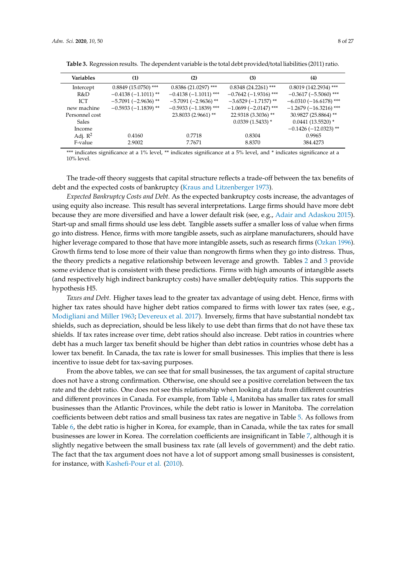| Variables           | (1)                   | (2)                    | (3)                     | (4)                         |
|---------------------|-----------------------|------------------------|-------------------------|-----------------------------|
| Intercept           | $0.8849(15.0750)$ *** | $0.8386(21.0297)$ ***  | $0.8348(24.2261)$ ***   | $0.8019(142.2934)$ ***      |
| R&D                 | $-0.4138(-1.1011)$ ** | $-0.4138(-1.1011)$ *** | $-0.7642$ (-1.9316) *** | $-0.3617$ ( $-5.5060$ ) *** |
| <b>ICT</b>          | $-5.7091(-2.9636)$ ** | $-5.7091(-2.9636)$ **  | $-3.6529(-1.7157)$ **   | $-6.0310(-16.6178)$ ***     |
| new machine         | $-0.5933(-1.1839)$ ** | $-0.5933(-1.1839)$ *** | $-1.0699(-2.0147)$ ***  | $-1.2679(-16.3216)$ ***     |
| Personnel cost      |                       | 23.8033 (2.9661) **    | 22.9318 (3.3036) **     | 30.9827 (25.8864) **        |
| <b>Sales</b>        |                       |                        | $0.0339(1.5433)*$       | $0.0441(13.5520)$ *         |
| Income              |                       |                        |                         | $-0.1426(-12.0323)$ **      |
| Adj. $\mathbb{R}^2$ | 0.4160                | 0.7718                 | 0.8304                  | 0.9965                      |
| F-value             | 2.9002                | 7.7671                 | 8.8370                  | 384.4273                    |

<span id="page-7-0"></span>**Table 3.** Regression results. The dependent variable is the total debt provided/total liabilities (2011) ratio.

\*\*\* indicates significance at a 1% level, \*\* indicates significance at a 5% level, and \* indicates significance at a 10% level.

The trade-off theory suggests that capital structure reflects a trade-off between the tax benefits of debt and the expected costs of bankruptcy [\(Kraus and Litzenberger](#page-24-7) [1973\)](#page-24-7).

*Expected Bankruptcy Costs and Debt.* As the expected bankruptcy costs increase, the advantages of using equity also increase. This result has several interpretations. Large firms should have more debt because they are more diversified and have a lower default risk (see, e.g., [Adair and Adaskou](#page-22-3) [2015\)](#page-22-3). Start-up and small firms should use less debt. Tangible assets suffer a smaller loss of value when firms go into distress. Hence, firms with more tangible assets, such as airplane manufacturers, should have higher leverage compared to those that have more intangible assets, such as research firms [\(Ozkan](#page-25-11) [1996\)](#page-25-11). Growth firms tend to lose more of their value than nongrowth firms when they go into distress. Thus, the theory predicts a negative relationship between leverage and growth. Tables [2](#page-6-0) and [3](#page-7-0) provide some evidence that is consistent with these predictions. Firms with high amounts of intangible assets (and respectively high indirect bankruptcy costs) have smaller debt/equity ratios. This supports the hypothesis H5.

*Taxes and Debt.* Higher taxes lead to the greater tax advantage of using debt. Hence, firms with higher tax rates should have higher debt ratios compared to firms with lower tax rates (see, e.g., [Modigliani and Miller](#page-25-12) [1963;](#page-25-12) [Devereux et al.](#page-23-12) [2017\)](#page-23-12). Inversely, firms that have substantial nondebt tax shields, such as depreciation, should be less likely to use debt than firms that do not have these tax shields. If tax rates increase over time, debt ratios should also increase. Debt ratios in countries where debt has a much larger tax benefit should be higher than debt ratios in countries whose debt has a lower tax benefit. In Canada, the tax rate is lower for small businesses. This implies that there is less incentive to issue debt for tax-saving purposes.

From the above tables, we can see that for small businesses, the tax argument of capital structure does not have a strong confirmation. Otherwise, one should see a positive correlation between the tax rate and the debt ratio. One does not see this relationship when looking at data from different countries and different provinces in Canada. For example, from Table [4,](#page-8-0) Manitoba has smaller tax rates for small businesses than the Atlantic Provinces, while the debt ratio is lower in Manitoba. The correlation coefficients between debt ratios and small business tax rates are negative in Table [5.](#page-8-1) As follows from Table [6,](#page-8-2) the debt ratio is higher in Korea, for example, than in Canada, while the tax rates for small businesses are lower in Korea. The correlation coefficients are insignificant in Table [7,](#page-8-3) although it is slightly negative between the small business tax rate (all levels of government) and the debt ratio. The fact that the tax argument does not have a lot of support among small businesses is consistent, for instance, with [Kashefi-Pour et al.](#page-24-11) [\(2010\)](#page-24-11).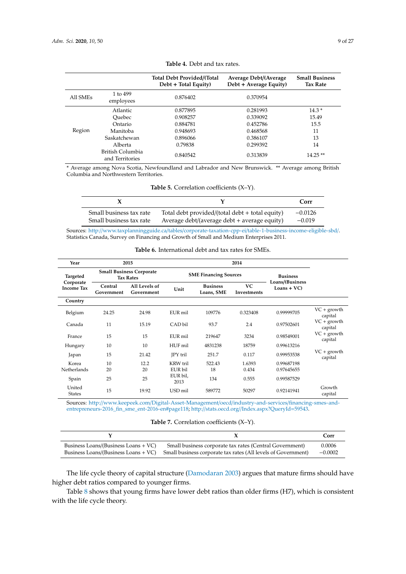<span id="page-8-0"></span>

|          |                                     | <b>Total Debt Provided/(Total</b><br>Debt + Total Equity) | Average Debt/(Average<br>Debt + Average Equity) | <b>Small Business</b><br><b>Tax Rate</b> |
|----------|-------------------------------------|-----------------------------------------------------------|-------------------------------------------------|------------------------------------------|
| All SMEs | 1 to 499<br>employees               | 0.876402                                                  | 0.370954                                        |                                          |
|          | Atlantic                            | 0.877895                                                  | 0.281993                                        | $14.3*$                                  |
|          | Ouebec                              | 0.908257                                                  | 0.339092                                        | 15.49                                    |
|          | Ontario                             | 0.884781                                                  | 0.452786                                        | 15.5                                     |
| Region   | Manitoba                            | 0.948693                                                  | 0.468568                                        | 11                                       |
|          | Saskatchewan                        | 0.896066                                                  | 0.386107                                        | 13                                       |
|          | Alberta                             | 0.79838                                                   | 0.299392                                        | 14                                       |
|          | British Columbia<br>and Territories | 0.840542                                                  | 0.313839                                        | $14.25**$                                |

| <b>Table 4.</b> Debt and tax rates. |
|-------------------------------------|
|                                     |

<span id="page-8-1"></span>\* Average among Nova Scotia, Newfoundland and Labrador and New Brunswick. \*\* Average among British Columbia and Northwestern Territories.

|  | <b>Table 5.</b> Correlation coefficients $(X-Y)$ . |  |
|--|----------------------------------------------------|--|
|  |                                                    |  |

|                         |                                                 | Corr      |
|-------------------------|-------------------------------------------------|-----------|
| Small business tax rate | Total debt provided/(total debt + total equity) | $-0.0126$ |
| Small business tax rate | Average debt/(average debt $+$ average equity)  | $-0.019$  |

Sources: http://www.taxplanningguide.ca/tables/corporate-taxation-cpp-ei/[table-1-business-income-eligible-sbd](http://www.taxplanningguide.ca/tables/corporate-taxation-cpp-ei/table-1-business-income-eligible-sbd/)/. Statistics Canada, Survey on Financing and Growth of Small and Medium Enterprises 2011.

**Table 6.** International debt and tax rates for SMEs.

<span id="page-8-2"></span>

| Year                                       |                       | 2015                                                |                  |                               |                          |                                 |                          |
|--------------------------------------------|-----------------------|-----------------------------------------------------|------------------|-------------------------------|--------------------------|---------------------------------|--------------------------|
| Targeted<br>Corporate<br><b>Income Tax</b> |                       | <b>Small Business Corporate</b><br><b>Tax Rates</b> |                  | <b>SME Financing Sources</b>  | <b>Business</b>          |                                 |                          |
|                                            | Central<br>Government | All Levels of<br>Government                         | Unit             | <b>Business</b><br>Loans, SME | <b>VC</b><br>Investments | Loans/(Business<br>$Loans + VC$ |                          |
| Country                                    |                       |                                                     |                  |                               |                          |                                 |                          |
| Belgium                                    | 24.25                 | 24.98                                               | EUR mil          | 109776                        | 0.323408                 | 0.99999705                      | $VC + growth$<br>capital |
| Canada                                     | 11                    | 15.19                                               | CAD bil          | 93.7                          | 2.4                      | 0.97502601                      | $VC + growth$<br>capital |
| France                                     | 15                    | 15                                                  | EUR mil          | 219647                        | 3234                     | 0.98549001                      | $VC + growth$<br>capital |
| Hungary                                    | 10                    | 10                                                  | HUF mil          | 4831238                       | 18759                    | 0.99613216                      |                          |
| Japan                                      | 15                    | 21.42                                               | <b>IPY</b> tril  | 251.7                         | 0.117                    | 0.99953538                      | $VC + growth$<br>capital |
| Korea                                      | 10                    | 12.2                                                | KRW tril         | 522.43                        | 1.6393                   | 0.99687198                      |                          |
| Netherlands                                | 20                    | 20                                                  | EUR bil          | 18                            | 0.434                    | 0.97645655                      |                          |
| Spain                                      | 25                    | 25                                                  | EUR bil,<br>2013 | 134                           | 0.555                    | 0.99587529                      |                          |
| United<br><b>States</b>                    | 15                    | 19.92                                               | USD mil          | 589772                        | 50297                    | 0.92141941                      | Growth<br>capital        |

Sources: http://www.keepeek.com/[Digital-Asset-Management](http://www.keepeek.com/Digital-Asset-Management/oecd/industry-and-services/financing-smes-and-entrepreneurs-2016_fin_sme_ent-2016-en#page118)/oecd/industry-and-services/financing-smes-and[entrepreneurs-2016\\_fin\\_sme\\_ent-2016-en#page118;](http://www.keepeek.com/Digital-Asset-Management/oecd/industry-and-services/financing-smes-and-entrepreneurs-2016_fin_sme_ent-2016-en#page118) http://stats.oecd.org//[Index.aspx?QueryId](http://stats.oecd.org//Index.aspx?QueryId=59543)=59543.

## **Table 7.** Correlation coefficients (X–Y).

<span id="page-8-3"></span>

|                                      |                                                                                                    | Corr      |
|--------------------------------------|----------------------------------------------------------------------------------------------------|-----------|
| Business Loans/(Business Loans + VC) | Small business corporate tax rates (Central Government)                                            | 0.0006    |
|                                      | Business Loans/(Business Loans + VC) Small business corporate tax rates (All levels of Government) | $-0.0002$ |

The life cycle theory of capital structure [\(Damodaran](#page-23-4) [2003\)](#page-23-4) argues that mature firms should have higher debt ratios compared to younger firms.

Table [8](#page-9-0) shows that young firms have lower debt ratios than older firms (H7), which is consistent with the life cycle theory.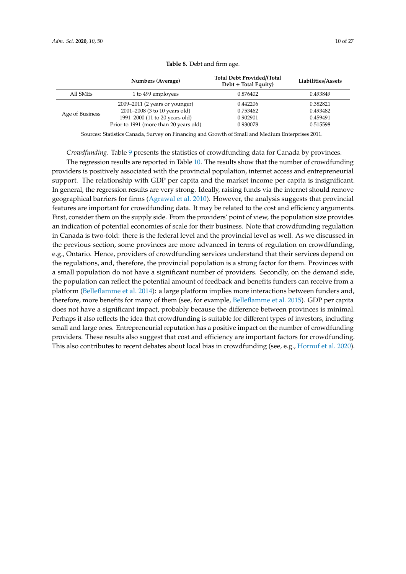| C.<br>. |  |  |  |
|---------|--|--|--|

<span id="page-9-0"></span>

|                 | Numbers (Average)                                                                                                                           | <b>Total Debt Provided/(Total</b><br>Debt + Total Equity) | Liabilities/Assets                           |
|-----------------|---------------------------------------------------------------------------------------------------------------------------------------------|-----------------------------------------------------------|----------------------------------------------|
| All SMEs        | 1 to 499 employees                                                                                                                          | 0.876402                                                  | 0.493849                                     |
| Age of Business | 2009–2011 (2 years or younger)<br>2001–2008 (3 to 10 years old)<br>1991-2000 (11 to 20 years old)<br>Prior to 1991 (more than 20 years old) | 0.442206<br>0.753462<br>0.902901<br>0.930078              | 0.382821<br>0.493482<br>0.459491<br>0.515598 |

**Table 8.** Debt and firm age.

Sources: Statistics Canada, Survey on Financing and Growth of Small and Medium Enterprises 2011.

*Crowdfunding*. Table [9](#page-10-0) presents the statistics of crowdfunding data for Canada by provinces.

The regression results are reported in Table [10.](#page-11-1) The results show that the number of crowdfunding providers is positively associated with the provincial population, internet access and entrepreneurial support. The relationship with GDP per capita and the market income per capita is insignificant. In general, the regression results are very strong. Ideally, raising funds via the internet should remove geographical barriers for firms [\(Agrawal et al.](#page-22-1) [2010\)](#page-22-1). However, the analysis suggests that provincial features are important for crowdfunding data. It may be related to the cost and efficiency arguments. First, consider them on the supply side. From the providers' point of view, the population size provides an indication of potential economies of scale for their business. Note that crowdfunding regulation in Canada is two-fold: there is the federal level and the provincial level as well. As we discussed in the previous section, some provinces are more advanced in terms of regulation on crowdfunding, e.g., Ontario. Hence, providers of crowdfunding services understand that their services depend on the regulations, and, therefore, the provincial population is a strong factor for them. Provinces with a small population do not have a significant number of providers. Secondly, on the demand side, the population can reflect the potential amount of feedback and benefits funders can receive from a platform [\(Belleflamme et al.](#page-23-13) [2014\)](#page-23-13): a large platform implies more interactions between funders and, therefore, more benefits for many of them (see, for example, [Belleflamme et al.](#page-23-14) [2015\)](#page-23-14). GDP per capita does not have a significant impact, probably because the difference between provinces is minimal. Perhaps it also reflects the idea that crowdfunding is suitable for different types of investors, including small and large ones. Entrepreneurial reputation has a positive impact on the number of crowdfunding providers. These results also suggest that cost and efficiency are important factors for crowdfunding. This also contributes to recent debates about local bias in crowdfunding (see, e.g., [Hornuf et al.](#page-24-12) [2020\)](#page-24-12).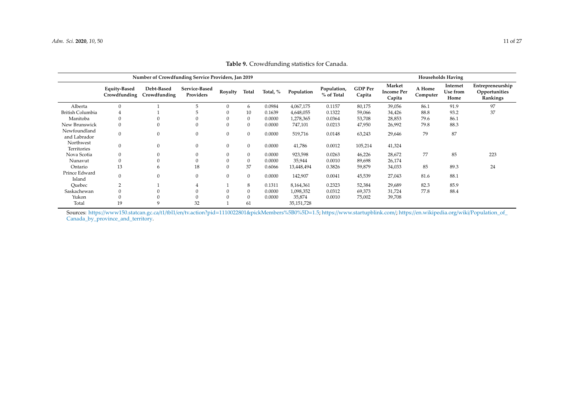| Number of Crowdfunding Service Providers, Jan 2019 |                                     |                            |                            |              |          |          |              |                           | <b>Households Having</b> |                                       |                    |                              |                                               |
|----------------------------------------------------|-------------------------------------|----------------------------|----------------------------|--------------|----------|----------|--------------|---------------------------|--------------------------|---------------------------------------|--------------------|------------------------------|-----------------------------------------------|
|                                                    | <b>Equity-Based</b><br>Crowdfunding | Debt-Based<br>Crowdfunding | Service-Based<br>Providers | Royalty      | Total    | Total, % | Population   | Population,<br>% of Total | GDP Per<br>Capita        | Market<br><b>Income Per</b><br>Capita | A Home<br>Computer | Internet<br>Use from<br>Home | Entrepreneurship<br>Opportunities<br>Rankings |
| Alberta                                            | $\overline{0}$                      |                            | 5                          | $\mathbf{0}$ | 6        | 0.0984   | 4,067,175    | 0.1157                    | 80,175                   | 39,056                                | 86.1               | 91.9                         | 97                                            |
| British Columbia                                   | 4                                   |                            | 5                          | $\Omega$     | 10       | 0.1639   | 4,648,055    | 0.1322                    | 59,066                   | 34,426                                | 88.8               | 93.2                         | 37                                            |
| Manitoba                                           | $\mathbf{0}$                        |                            | $\overline{0}$             | $\theta$     |          | 0.0000   | 1,278,365    | 0.0364                    | 53,708                   | 28,853                                | 79.6               | 86.1                         |                                               |
| New Brunswick                                      | $\mathbf{0}$                        | $\mathbf{0}$               | $\overline{0}$             | $\mathbf{0}$ | $\Omega$ | 0.0000   | 747,101      | 0.0213                    | 47,950                   | 26,992                                | 79.8               | 88.3                         |                                               |
| Newfoundland<br>and Labrador                       | $\mathbf{0}$                        | $\boldsymbol{0}$           | $\overline{0}$             | $\mathbf{0}$ | $\Omega$ | 0.0000   | 519,716      | 0.0148                    | 63,243                   | 29,646                                | 79                 | 87                           |                                               |
| Northwest<br>Territories                           | $\overline{0}$                      | $\boldsymbol{0}$           | $\overline{0}$             | $\mathbf{0}$ | $\Omega$ | 0.0000   | 41,786       | 0.0012                    | 105,214                  | 41,324                                |                    |                              |                                               |
| Nova Scotia                                        | $\mathbf{0}$                        | $\boldsymbol{0}$           | $\overline{0}$             | $\mathbf{0}$ | $\Omega$ | 0.0000   | 923,598      | 0.0263                    | 46,226                   | 28,672                                | 77                 | 85                           | 223                                           |
| Nunavut                                            | $\mathbf{0}$                        | $\theta$                   | $\overline{0}$             | $\theta$     |          | 0.0000   | 35,944       | 0.0010                    | 89,698                   | 26,174                                |                    |                              |                                               |
| Ontario                                            | 13                                  | 6                          | 18                         | $\Omega$     | 37       | 0.6066   | 13,448,494   | 0.3826                    | 59,879                   | 34,033                                | 85                 | 89.3                         | 24                                            |
| Prince Edward<br>Island                            | $\overline{0}$                      | $\mathbf{0}$               | $\overline{0}$             | $\theta$     | $\Omega$ | 0.0000   | 142,907      | 0.0041                    | 45,539                   | 27,043                                | 81.6               | 88.1                         |                                               |
| Quebec                                             | $\overline{2}$                      |                            | $\overline{4}$             |              | 8        | 0.1311   | 8,164,361    | 0.2323                    | 52,384                   | 29,689                                | 82.3               | 85.9                         |                                               |
| Saskachewan                                        | $\Omega$                            |                            | $\overline{0}$             | $\Omega$     |          | 0.0000   | 1,098,352    | 0.0312                    | 69,373                   | 31,724                                | 77.8               | 88.4                         |                                               |
| Yukon                                              | $\mathbf{0}$                        |                            |                            |              |          | 0.0000   | 35,874       | 0.0010                    | 75,002                   | 39,708                                |                    |                              |                                               |
| Total                                              | 19                                  | Q                          | 32                         |              | 61       |          | 35, 151, 728 |                           |                          |                                       |                    |                              |                                               |

**Table 9.** Crowdfunding statistics for Canada.

<span id="page-10-0"></span>Sources: https://www150.statcan.gc.ca/t1/tbl1/en/tv.action?pid=[1110022801&pickMembers%5B0%5D](https://www150.statcan.gc.ca/t1/tbl1/en/tv.action?pid=1110022801&pickMembers%5B0%5D=1.5)=1.5; https://[www.startupblink.com](https://www.startupblink.com/)/; https://[en.wikipedia.org](https://en.wikipedia.org/wiki/Population_of_Canada_by_province_and_territory)/wiki/Population\_of\_ [Canada\\_by\\_province\\_and\\_territory.](https://en.wikipedia.org/wiki/Population_of_Canada_by_province_and_territory)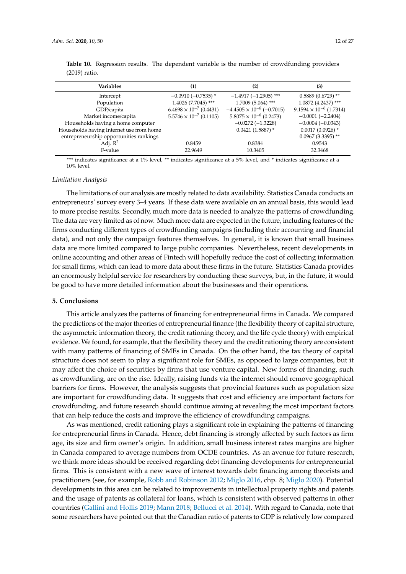| <b>Variables</b>                         | (1)                              | (2)                                | (3)                              |
|------------------------------------------|----------------------------------|------------------------------------|----------------------------------|
| Intercept                                | $-0.0910$ ( $-0.7535$ ) *        | $-1.4917(-1.2905)$ ***             | $0.5889(0.6729)$ **              |
| Population                               | $1.4026(7.7045)$ ***             | $1.7009(5.064)$ ***                | $1.0872(4.2437)$ ***             |
| GDP/capita                               | $6.4698 \times 10^{-7}$ (0.4431) | $-4.4505 \times 10^{-6}$ (-0.7015) | $9.1594 \times 10^{-6}$ (1.7314) |
| Market income/capita                     | $5.5746 \times 10^{-7}$ (0.1105) | $5.8075 \times 10^{-6}$ (0.2473)   | $-0.0001(-2.2404)$               |
| Households having a home computer        |                                  | $-0.0272(-1.3228)$                 | $-0.0004(-0.0343)$               |
| Households having Internet use from home |                                  | $0.0421(1.5887)$ *                 | $0.0017(0.0926)$ *               |
| entrepreneurship opportunities rankings  |                                  |                                    | $0.0967(3.3395)$ **              |
| Adj. $\mathbb{R}^2$                      | 0.8459                           | 0.8384                             | 0.9543                           |
| F-value                                  | 22.9649                          | 10.3405                            | 32.3468                          |

<span id="page-11-1"></span>**Table 10.** Regression results. The dependent variable is the number of crowdfunding providers (2019) ratio.

\*\*\* indicates significance at a 1% level, \*\* indicates significance at a 5% level, and \* indicates significance at a 10% level.

#### *Limitation Analysis*

The limitations of our analysis are mostly related to data availability. Statistics Canada conducts an entrepreneurs' survey every 3–4 years. If these data were available on an annual basis, this would lead to more precise results. Secondly, much more data is needed to analyze the patterns of crowdfunding. The data are very limited as of now. Much more data are expected in the future, including features of the firms conducting different types of crowdfunding campaigns (including their accounting and financial data), and not only the campaign features themselves. In general, it is known that small business data are more limited compared to large public companies. Nevertheless, recent developments in online accounting and other areas of Fintech will hopefully reduce the cost of collecting information for small firms, which can lead to more data about these firms in the future. Statistics Canada provides an enormously helpful service for researchers by conducting these surveys, but, in the future, it would be good to have more detailed information about the businesses and their operations.

# <span id="page-11-0"></span>**5. Conclusions**

This article analyzes the patterns of financing for entrepreneurial firms in Canada. We compared the predictions of the major theories of entrepreneurial finance (the flexibility theory of capital structure, the asymmetric information theory, the credit rationing theory, and the life cycle theory) with empirical evidence. We found, for example, that the flexibility theory and the credit rationing theory are consistent with many patterns of financing of SMEs in Canada. On the other hand, the tax theory of capital structure does not seem to play a significant role for SMEs, as opposed to large companies, but it may affect the choice of securities by firms that use venture capital. New forms of financing, such as crowdfunding, are on the rise. Ideally, raising funds via the internet should remove geographical barriers for firms. However, the analysis suggests that provincial features such as population size are important for crowdfunding data. It suggests that cost and efficiency are important factors for crowdfunding, and future research should continue aiming at revealing the most important factors that can help reduce the costs and improve the efficiency of crowdfunding campaigns.

As was mentioned, credit rationing plays a significant role in explaining the patterns of financing for entrepreneurial firms in Canada. Hence, debt financing is strongly affected by such factors as firm age, its size and firm owner's origin. In addition, small business interest rates margins are higher in Canada compared to average numbers from OCDE countries. As an avenue for future research, we think more ideas should be received regarding debt financing developments for entrepreneurial firms. This is consistent with a new wave of interest towards debt financing among theorists and practitioners (see, for example, [Robb and Robinson](#page-25-2) [2012;](#page-25-2) [Miglo](#page-25-3) [2016,](#page-25-3) chp. 8; [Miglo](#page-25-13) [2020\)](#page-25-13). Potential developments in this area can be related to improvements in intellectual property rights and patents and the usage of patents as collateral for loans, which is consistent with observed patterns in other countries [\(Gallini and Hollis](#page-24-13) [2019;](#page-24-13) [Mann](#page-25-14) [2018;](#page-25-14) [Bellucci et al.](#page-23-15) [2014\)](#page-23-15). With regard to Canada, note that some researchers have pointed out that the Canadian ratio of patents to GDP is relatively low compared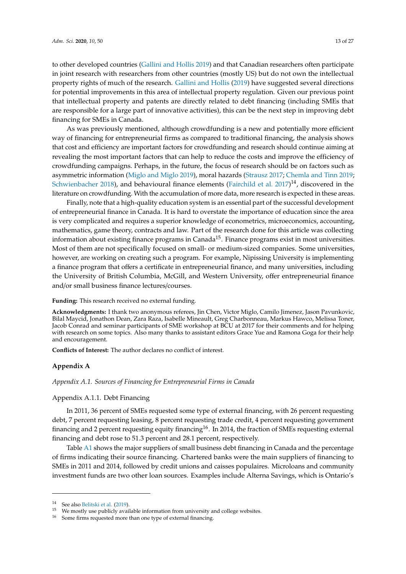to other developed countries [\(Gallini and Hollis](#page-24-13) [2019\)](#page-24-13) and that Canadian researchers often participate in joint research with researchers from other countries (mostly US) but do not own the intellectual property rights of much of the research. [Gallini and Hollis](#page-24-13) [\(2019\)](#page-24-13) have suggested several directions for potential improvements in this area of intellectual property regulation. Given our previous point that intellectual property and patents are directly related to debt financing (including SMEs that are responsible for a large part of innovative activities), this can be the next step in improving debt financing for SMEs in Canada.

As was previously mentioned, although crowdfunding is a new and potentially more efficient way of financing for entrepreneurial firms as compared to traditional financing, the analysis shows that cost and efficiency are important factors for crowdfunding and research should continue aiming at revealing the most important factors that can help to reduce the costs and improve the efficiency of crowdfunding campaigns. Perhaps, in the future, the focus of research should be on factors such as asymmetric information [\(Miglo and Miglo](#page-25-15) [2019\)](#page-25-15), moral hazards [\(Strausz](#page-26-3) [2017;](#page-26-3) [Chemla and Tinn](#page-23-16) [2019;](#page-23-16) [Schwienbacher](#page-25-16) [2018\)](#page-25-16), and behavioural finance elements [\(Fairchild et al.](#page-24-14) [2017\)](#page-24-14)<sup>14</sup>, discovered in the literature on crowdfunding. With the accumulation of more data, more research is expected in these areas.

Finally, note that a high-quality education system is an essential part of the successful development of entrepreneurial finance in Canada. It is hard to overstate the importance of education since the area is very complicated and requires a superior knowledge of econometrics, microeconomics, accounting, mathematics, game theory, contracts and law. Part of the research done for this article was collecting information about existing finance programs in Canada<sup>15</sup>. Finance programs exist in most universities. Most of them are not specifically focused on small- or medium-sized companies. Some universities, however, are working on creating such a program. For example, Nipissing University is implementing a finance program that offers a certificate in entrepreneurial finance, and many universities, including the University of British Columbia, McGill, and Western University, offer entrepreneurial finance and/or small business finance lectures/courses.

**Funding:** This research received no external funding.

**Acknowledgments:** I thank two anonymous referees, Jin Chen, Victor Miglo, Camilo Jimenez, Jason Pavunkovic, Bilal Maycid, Jonathon Dean, Zara Raza, Isabelle Mineault, Greg Charbonneau, Markus Hawco, Melissa Toner, Jacob Conrad and seminar participants of SME workshop at BCU at 2017 for their comments and for helping with research on some topics. Also many thanks to assistant editors Grace Yue and Ramona Goga for their help and encouragement.

**Conflicts of Interest:** The author declares no conflict of interest.

# <span id="page-12-0"></span>**Appendix A**

*Appendix A.1. Sources of Financing for Entrepreneurial Firms in Canada*

# Appendix A.1.1. Debt Financing

In 2011, 36 percent of SMEs requested some type of external financing, with 26 percent requesting debt, 7 percent requesting leasing, 8 percent requesting trade credit, 4 percent requesting government financing and 2 percent requesting equity financing<sup>16</sup>. In 2014, the fraction of SMEs requesting external financing and debt rose to 51.3 percent and 28.1 percent, respectively.

Table [A1](#page-13-0) shows the major suppliers of small business debt financing in Canada and the percentage of firms indicating their source financing. Chartered banks were the main suppliers of financing to SMEs in 2011 and 2014, followed by credit unions and caisses populaires. Microloans and community investment funds are two other loan sources. Examples include Alterna Savings, which is Ontario's

<sup>14</sup> See also [Belitski et al.](#page-23-17) [\(2019\)](#page-23-17).

 $^{15}\;$  We mostly use publicly available information from university and college websites.

<sup>16</sup> Some firms requested more than one type of external financing.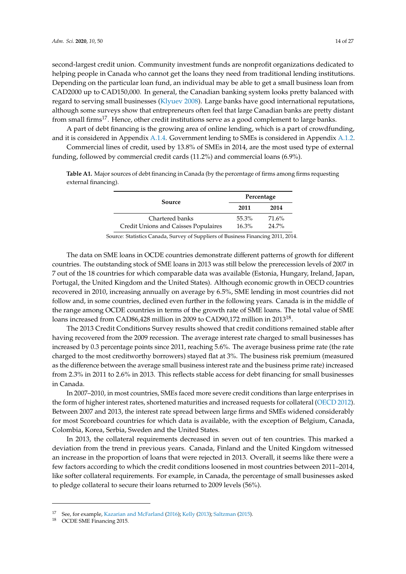second-largest credit union. Community investment funds are nonprofit organizations dedicated to helping people in Canada who cannot get the loans they need from traditional lending institutions. Depending on the particular loan fund, an individual may be able to get a small business loan from CAD2000 up to CAD150,000. In general, the Canadian banking system looks pretty balanced with regard to serving small businesses [\(Klyuev](#page-24-15) [2008\)](#page-24-15). Large banks have good international reputations, although some surveys show that entrepreneurs often feel that large Canadian banks are pretty distant from small firms<sup>17</sup>. Hence, other credit institutions serve as a good complement to large banks.

A part of debt financing is the growing area of online lending, which is a part of crowdfunding, and it is considered in Appendix [A.1.4.](#page-20-0) Government lending to SMEs is considered in Appendix [A.1.2.](#page-14-1)

Commercial lines of credit, used by 13.8% of SMEs in 2014, are the most used type of external funding, followed by commercial credit cards (11.2%) and commercial loans (6.9%).

<span id="page-13-0"></span>**Table A1.** Major sources of debt financing in Canada (by the percentage of firms among firms requesting external financing).

| Source                               | Percentage |          |
|--------------------------------------|------------|----------|
|                                      | 2011       | 2014     |
| Chartered banks                      | 55.3%      | 71.6%    |
| Credit Unions and Caisses Populaires | $16.3\%$   | $24.7\%$ |

Source: Statistics Canada, Survey of Suppliers of Business Financing 2011, 2014.

The data on SME loans in OCDE countries demonstrate different patterns of growth for different countries. The outstanding stock of SME loans in 2013 was still below the prerecession levels of 2007 in 7 out of the 18 countries for which comparable data was available (Estonia, Hungary, Ireland, Japan, Portugal, the United Kingdom and the United States). Although economic growth in OECD countries recovered in 2010, increasing annually on average by 6.5%, SME lending in most countries did not follow and, in some countries, declined even further in the following years. Canada is in the middle of the range among OCDE countries in terms of the growth rate of SME loans. The total value of SME loans increased from CAD86,428 million in 2009 to CAD90,172 million in 2013 $^{18}$ .

The 2013 Credit Conditions Survey results showed that credit conditions remained stable after having recovered from the 2009 recession. The average interest rate charged to small businesses has increased by 0.3 percentage points since 2011, reaching 5.6%. The average business prime rate (the rate charged to the most creditworthy borrowers) stayed flat at 3%. The business risk premium (measured as the difference between the average small business interest rate and the business prime rate) increased from 2.3% in 2011 to 2.6% in 2013. This reflects stable access for debt financing for small businesses in Canada.

In 2007–2010, in most countries, SMEs faced more severe credit conditions than large enterprises in the form of higher interest rates, shortened maturities and increased requests for collateral [\(OECD](#page-25-10) [2012\)](#page-25-10). Between 2007 and 2013, the interest rate spread between large firms and SMEs widened considerably for most Scoreboard countries for which data is available, with the exception of Belgium, Canada, Colombia, Korea, Serbia, Sweden and the United States.

In 2013, the collateral requirements decreased in seven out of ten countries. This marked a deviation from the trend in previous years. Canada, Finland and the United Kingdom witnessed an increase in the proportion of loans that were rejected in 2013. Overall, it seems like there were a few factors according to which the credit conditions loosened in most countries between 2011–2014, like softer collateral requirements. For example, in Canada, the percentage of small businesses asked to pledge collateral to secure their loans returned to 2009 levels (56%).

<sup>17</sup> See, for example, [Kazarian and McFarland](#page-24-16) [\(2016\)](#page-24-16); [Kelly](#page-24-17) [\(2013\)](#page-24-17); [Saltzman](#page-25-17) [\(2015\)](#page-25-17).

<sup>18</sup> OCDE SME Financing 2015.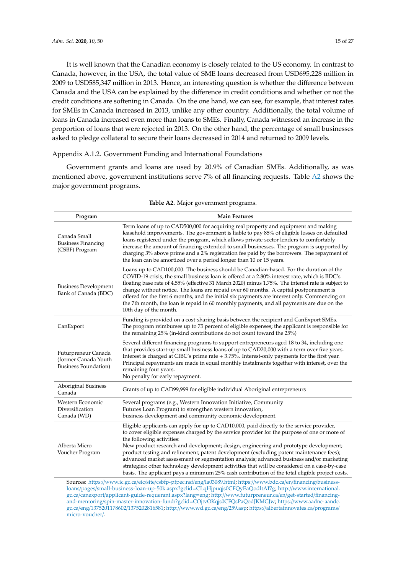It is well known that the Canadian economy is closely related to the US economy. In contrast to Canada, however, in the USA, the total value of SME loans decreased from USD695,228 million in 2009 to USD585,347 million in 2013. Hence, an interesting question is whether the difference between Canada and the USA can be explained by the difference in credit conditions and whether or not the credit conditions are softening in Canada. On the one hand, we can see, for example, that interest rates for SMEs in Canada increased in 2013, unlike any other country. Additionally, the total volume of loans in Canada increased even more than loans to SMEs. Finally, Canada witnessed an increase in the proportion of loans that were rejected in 2013. On the other hand, the percentage of small businesses asked to pledge collateral to secure their loans decreased in 2014 and returned to 2009 levels.

<span id="page-14-1"></span>Appendix A.1.2. Government Funding and International Foundations

Government grants and loans are used by 20.9% of Canadian SMEs. Additionally, as was mentioned above, government institutions serve 7% of all financing requests. Table [A2](#page-14-0) shows the major government programs.

<span id="page-14-0"></span>

| Program                                                                     | <b>Main Features</b>                                                                                                                                                                                                                                                                                                                                                                                                                                                                                                                                                                                                                                                                                    |
|-----------------------------------------------------------------------------|---------------------------------------------------------------------------------------------------------------------------------------------------------------------------------------------------------------------------------------------------------------------------------------------------------------------------------------------------------------------------------------------------------------------------------------------------------------------------------------------------------------------------------------------------------------------------------------------------------------------------------------------------------------------------------------------------------|
| Canada Small<br><b>Business Financing</b><br>(CSBF) Program                 | Term loans of up to CAD500,000 for acquiring real property and equipment and making<br>leasehold improvements. The government is liable to pay 85% of eligible losses on defaulted<br>loans registered under the program, which allows private-sector lenders to comfortably<br>increase the amount of financing extended to small businesses. The program is supported by<br>charging 3% above prime and a 2% registration fee paid by the borrowers. The repayment of<br>the loan can be amortized over a period longer than 10 or 15 years.                                                                                                                                                          |
| <b>Business Development</b><br>Bank of Canada (BDC)                         | Loans up to CAD100,000. The business should be Canadian-based. For the duration of the<br>COVID-19 crisis, the small business loan is offered at a 2.80% interest rate, which is BDC's<br>floating base rate of 4.55% (effective 31 March 2020) minus 1.75%. The interest rate is subject to<br>change without notice. The loans are repaid over 60 months. A capital postponement is<br>offered for the first 6 months, and the initial six payments are interest only. Commencing on<br>the 7th month, the loan is repaid in 60 monthly payments, and all payments are due on the<br>10th day of the month.                                                                                           |
| CanExport                                                                   | Funding is provided on a cost-sharing basis between the recipient and CanExport SMEs.<br>The program reimburses up to 75 percent of eligible expenses; the applicant is responsible for<br>the remaining 25% (in-kind contributions do not count toward the 25%)                                                                                                                                                                                                                                                                                                                                                                                                                                        |
| Futurpreneur Canada<br>(former Canada Youth<br><b>Business Foundation</b> ) | Several different financing programs to support entrepreneurs aged 18 to 34, including one<br>that provides start-up small business loans of up to CAD20,000 with a term over five years.<br>Interest is charged at CIBC's prime rate + 3.75%. Interest-only payments for the first year.<br>Principal repayments are made in equal monthly instalments together with interest, over the<br>remaining four years.<br>No penalty for early repayment.                                                                                                                                                                                                                                                    |
| <b>Aboriginal Business</b><br>Canada                                        | Grants of up to CAD99,999 for eligible individual Aboriginal entrepreneurs                                                                                                                                                                                                                                                                                                                                                                                                                                                                                                                                                                                                                              |
| Western Economic<br>Diversification<br>Canada (WD)                          | Several programs (e.g., Western Innovation Initiative, Community<br>Futures Loan Program) to strengthen western innovation,<br>business development and community economic development.                                                                                                                                                                                                                                                                                                                                                                                                                                                                                                                 |
| Alberta Micro<br>Voucher Program                                            | Eligible applicants can apply for up to CAD10,000, paid directly to the service provider,<br>to cover eligible expenses charged by the service provider for the purpose of one or more of<br>the following activities:<br>New product research and development; design, engineering and prototype development;<br>product testing and refinement; patent development (excluding patent maintenance fees);<br>advanced market assessment or segmentation analysis; advanced business and/or marketing<br>strategies; other technology development activities that will be considered on a case-by-case<br>basis. The applicant pays a minimum 25% cash contribution of the total eligible project costs. |

**Table A2.** Major government programs.

Sources: https://www.ic.gc.ca/eic/site/[csbfp-pfpec.nsf](https://www.ic.gc.ca/eic/site/csbfp-pfpec.nsf/eng/la03089.html)/eng/la03089.html; https://[www.bdc.ca](https://www.bdc.ca/en/financing/business-loans/pages/small-business-loan-up-50k.aspx?gclid=CLqHjpuqjs0CFQyEaQodltAI7g)/en/financing/businessloans/pages/[small-business-loan-up-50k.aspx?gclid](https://www.bdc.ca/en/financing/business-loans/pages/small-business-loan-up-50k.aspx?gclid=CLqHjpuqjs0CFQyEaQodltAI7g)=CLqHjpuqjs0CFQyEaQodltAI7g; http://[www.international.](http://www.international.gc.ca/canexport/applicant-guide-requerant.aspx?lang=eng) gc.ca/canexport/[applicant-guide-requerant.aspx?lang](http://www.international.gc.ca/canexport/applicant-guide-requerant.aspx?lang=eng)=eng; http://[www.futurpreneur.ca](http://www.futurpreneur.ca/en/get-started/financing-and-mentoring/spin-master-innovation-fund/?gclid=COjtvOKqjs0CFQsPaQodJKMGJw)/en/get-started/financingand-mentoring/spin-master-innovation-fund/?gclid=[COjtvOKqjs0CFQsPaQodJKMGJw;](http://www.futurpreneur.ca/en/get-started/financing-and-mentoring/spin-master-innovation-fund/?gclid=COjtvOKqjs0CFQsPaQodJKMGJw) https://[www.aadnc-aandc.](https://www.aadnc-aandc.gc.ca/eng/1375201178602/1375202816581) gc.ca/eng/1375201178602/[1375202816581;](https://www.aadnc-aandc.gc.ca/eng/1375201178602/1375202816581) http://[www.wd.gc.ca](http://www.wd.gc.ca/eng/259.asp)/eng/259.asp; https://[albertainnovates.ca](https://albertainnovates.ca/programs/micro-voucher/)/programs/ [micro-voucher](https://albertainnovates.ca/programs/micro-voucher/)/.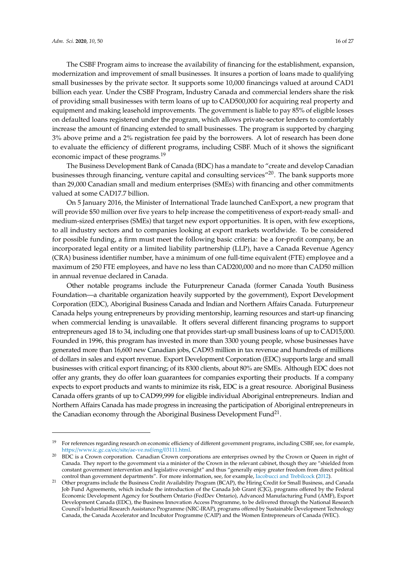The CSBF Program aims to increase the availability of financing for the establishment, expansion, modernization and improvement of small businesses. It insures a portion of loans made to qualifying small businesses by the private sector. It supports some 10,000 financings valued at around CAD1 billion each year. Under the CSBF Program, Industry Canada and commercial lenders share the risk of providing small businesses with term loans of up to CAD500,000 for acquiring real property and equipment and making leasehold improvements. The government is liable to pay 85% of eligible losses on defaulted loans registered under the program, which allows private-sector lenders to comfortably increase the amount of financing extended to small businesses. The program is supported by charging 3% above prime and a 2% registration fee paid by the borrowers. A lot of research has been done to evaluate the efficiency of different programs, including CSBF. Much of it shows the significant economic impact of these programs.<sup>19</sup>

The Business Development Bank of Canada (BDC) has a mandate to "create and develop Canadian businesses through financing, venture capital and consulting services"<sup>20</sup>. The bank supports more than 29,000 Canadian small and medium enterprises (SMEs) with financing and other commitments valued at some CAD17.7 billion.

On 5 January 2016, the Minister of International Trade launched CanExport, a new program that will provide \$50 million over five years to help increase the competitiveness of export-ready small- and medium-sized enterprises (SMEs) that target new export opportunities. It is open, with few exceptions, to all industry sectors and to companies looking at export markets worldwide. To be considered for possible funding, a firm must meet the following basic criteria: be a for-profit company, be an incorporated legal entity or a limited liability partnership (LLP), have a Canada Revenue Agency (CRA) business identifier number, have a minimum of one full-time equivalent (FTE) employee and a maximum of 250 FTE employees, and have no less than CAD200,000 and no more than CAD50 million in annual revenue declared in Canada.

Other notable programs include the Futurpreneur Canada (former Canada Youth Business Foundation—a charitable organization heavily supported by the government), Export Development Corporation (EDC), Aboriginal Business Canada and Indian and Northern Affairs Canada. Futurpreneur Canada helps young entrepreneurs by providing mentorship, learning resources and start-up financing when commercial lending is unavailable. It offers several different financing programs to support entrepreneurs aged 18 to 34, including one that provides start-up small business loans of up to CAD15,000. Founded in 1996, this program has invested in more than 3300 young people, whose businesses have generated more than 16,600 new Canadian jobs, CAD93 million in tax revenue and hundreds of millions of dollars in sales and export revenue. Export Development Corporation (EDC) supports large and small businesses with critical export financing; of its 8300 clients, about 80% are SMEs. Although EDC does not offer any grants, they do offer loan guarantees for companies exporting their products. If a company expects to export products and wants to minimize its risk, EDC is a great resource. Aboriginal Business Canada offers grants of up to CAD99,999 for eligible individual Aboriginal entrepreneurs. Indian and Northern Affairs Canada has made progress in increasing the participation of Aboriginal entrepreneurs in the Canadian economy through the Aboriginal Business Development Fund<sup>21</sup>.

<sup>19</sup> For references regarding research on economic efficiency of different government programs, including CSBF, see, for example, https://[www.ic.gc.ca](https://www.ic.gc.ca/eic/site/ae-ve.nsf/eng/03111.html)/eic/site/ae-ve.nsf/eng/03111.html.

<sup>20</sup> BDC is a Crown corporation. Canadian Crown corporations are enterprises owned by the Crown or Queen in right of Canada. They report to the government via a minister of the Crown in the relevant cabinet, though they are "shielded from constant government intervention and legislative oversight" and thus "generally enjoy greater freedom from direct political control than government departments". For more information, see, for example, [Iacobucci and Trebilcock](#page-24-18) [\(2012\)](#page-24-18).

<sup>&</sup>lt;sup>21</sup> Other programs include the Business Credit Availability Program (BCAP), the Hiring Credit for Small Business, and Canada Job Fund Agreements, which include the introduction of the Canada Job Grant (CJG), programs offered by the Federal Economic Development Agency for Southern Ontario (FedDev Ontario), Advanced Manufacturing Fund (AMF), Export Development Canada (EDC), the Business Innovation Access Programme, to be delivered through the National Research Council's Industrial Research Assistance Programme (NRC-IRAP), programs offered by Sustainable Development Technology Canada, the Canada Accelerator and Incubator Programme (CAIP) and the Women Entrepreneurs of Canada (WEC).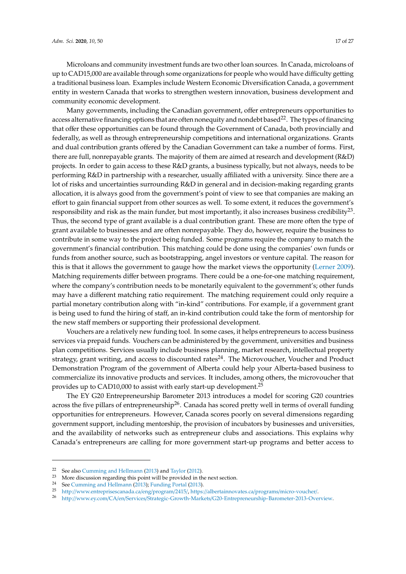Microloans and community investment funds are two other loan sources. In Canada, microloans of up to CAD15,000 are available through some organizations for people who would have difficulty getting a traditional business loan. Examples include Western Economic Diversification Canada, a government entity in western Canada that works to strengthen western innovation, business development and community economic development.

Many governments, including the Canadian government, offer entrepreneurs opportunities to access alternative financing options that are often nonequity and nondebt based<sup>22</sup>. The types of financing that offer these opportunities can be found through the Government of Canada, both provincially and federally, as well as through entrepreneurship competitions and international organizations. Grants and dual contribution grants offered by the Canadian Government can take a number of forms. First, there are full, nonrepayable grants. The majority of them are aimed at research and development (R&D) projects. In order to gain access to these R&D grants, a business typically, but not always, needs to be performing R&D in partnership with a researcher, usually affiliated with a university. Since there are a lot of risks and uncertainties surrounding R&D in general and in decision-making regarding grants allocation, it is always good from the government's point of view to see that companies are making an effort to gain financial support from other sources as well. To some extent, it reduces the government's responsibility and risk as the main funder, but most importantly, it also increases business credibility $^{23}$ . Thus, the second type of grant available is a dual contribution grant. These are more often the type of grant available to businesses and are often nonrepayable. They do, however, require the business to contribute in some way to the project being funded. Some programs require the company to match the government's financial contribution. This matching could be done using the companies' own funds or funds from another source, such as bootstrapping, angel investors or venture capital. The reason for this is that it allows the government to gauge how the market views the opportunity [\(Lerner](#page-25-5) [2009\)](#page-25-5). Matching requirements differ between programs. There could be a one-for-one matching requirement, where the company's contribution needs to be monetarily equivalent to the government's; other funds may have a different matching ratio requirement. The matching requirement could only require a partial monetary contribution along with "in-kind" contributions. For example, if a government grant is being used to fund the hiring of staff, an in-kind contribution could take the form of mentorship for the new staff members or supporting their professional development.

Vouchers are a relatively new funding tool. In some cases, it helps entrepreneurs to access business services via prepaid funds. Vouchers can be administered by the government, universities and business plan competitions. Services usually include business planning, market research, intellectual property strategy, grant writing, and access to discounted rates $^{24}$ . The Microvoucher, Voucher and Product Demonstration Program of the government of Alberta could help your Alberta-based business to commercialize its innovative products and services. It includes, among others, the microvoucher that provides up to CAD10,000 to assist with early start-up development.<sup>25</sup>

The EY G20 Entrepreneurship Barometer 2013 introduces a model for scoring G20 countries across the five pillars of entrepreneurship<sup>26</sup>. Canada has scored pretty well in terms of overall funding opportunities for entrepreneurs. However, Canada scores poorly on several dimensions regarding government support, including mentorship, the provision of incubators by businesses and universities, and the availability of networks such as entrepreneur clubs and associations. This explains why Canada's entrepreneurs are calling for more government start-up programs and better access to

<sup>22</sup> See also [Cumming and Hellmann](#page-23-18) [\(2013\)](#page-23-18) and [Taylor](#page-26-4) [\(2012\)](#page-26-4).

<sup>23</sup> More discussion regarding this point will be provided in the next section.

<sup>24</sup> See [Cumming and Hellmann](#page-23-18) [\(2013\)](#page-23-18); [Funding Portal](#page-24-19) [\(2013\)](#page-24-19).

<sup>25</sup> http://[www.entreprisescanada.ca](http://www.entreprisescanada.ca/eng/program/2415/)/eng/program/2415/, https://[albertainnovates.ca](https://albertainnovates.ca/programs/micro-voucher/)/programs/micro-voucher/.

<sup>26</sup> http://www.ey.com/CA/en/Services/Strategic-Growth-Markets/[G20-Entrepreneurship-Barometer-2013-Overview.](http://www.ey.com/CA/en/Services/Strategic-Growth-Markets/G20-Entrepreneurship-Barometer-2013-Overview)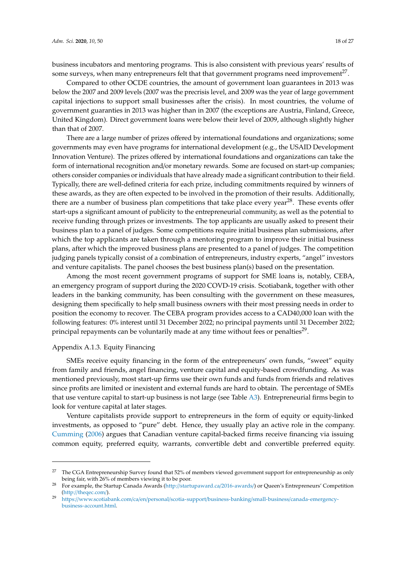business incubators and mentoring programs. This is also consistent with previous years' results of some surveys, when many entrepreneurs felt that that government programs need improvement $^{27}$ .

Compared to other OCDE countries, the amount of government loan guarantees in 2013 was below the 2007 and 2009 levels (2007 was the precrisis level, and 2009 was the year of large government capital injections to support small businesses after the crisis). In most countries, the volume of government guaranties in 2013 was higher than in 2007 (the exceptions are Austria, Finland, Greece, United Kingdom). Direct government loans were below their level of 2009, although slightly higher than that of 2007.

There are a large number of prizes offered by international foundations and organizations; some governments may even have programs for international development (e.g., the USAID Development Innovation Venture). The prizes offered by international foundations and organizations can take the form of international recognition and/or monetary rewards. Some are focused on start-up companies; others consider companies or individuals that have already made a significant contribution to their field. Typically, there are well-defined criteria for each prize, including commitments required by winners of these awards, as they are often expected to be involved in the promotion of their results. Additionally, there are a number of business plan competitions that take place every year<sup>28</sup>. These events offer start-ups a significant amount of publicity to the entrepreneurial community, as well as the potential to receive funding through prizes or investments. The top applicants are usually asked to present their business plan to a panel of judges. Some competitions require initial business plan submissions, after which the top applicants are taken through a mentoring program to improve their initial business plans, after which the improved business plans are presented to a panel of judges. The competition judging panels typically consist of a combination of entrepreneurs, industry experts, "angel" investors and venture capitalists. The panel chooses the best business plan(s) based on the presentation.

Among the most recent government programs of support for SME loans is, notably, CEBA, an emergency program of support during the 2020 COVD-19 crisis. Scotiabank, together with other leaders in the banking community, has been consulting with the government on these measures, designing them specifically to help small business owners with their most pressing needs in order to position the economy to recover. The CEBA program provides access to a CAD40,000 loan with the following features: 0% interest until 31 December 2022; no principal payments until 31 December 2022; principal repayments can be voluntarily made at any time without fees or penalties $^{29}$ .

# Appendix A.1.3. Equity Financing

SMEs receive equity financing in the form of the entrepreneurs' own funds, "sweet" equity from family and friends, angel financing, venture capital and equity-based crowdfunding. As was mentioned previously, most start-up firms use their own funds and funds from friends and relatives since profits are limited or inexistent and external funds are hard to obtain. The percentage of SMEs that use venture capital to start-up business is not large (see Table [A3\)](#page-18-0). Entrepreneurial firms begin to look for venture capital at later stages.

Venture capitalists provide support to entrepreneurs in the form of equity or equity-linked investments, as opposed to "pure" debt. Hence, they usually play an active role in the company. [Cumming](#page-23-19) [\(2006\)](#page-23-19) argues that Canadian venture capital-backed firms receive financing via issuing common equity, preferred equity, warrants, convertible debt and convertible preferred equity.

<sup>&</sup>lt;sup>27</sup> The CGA Entrepreneurship Survey found that 52% of members viewed government support for entrepreneurship as only being fair, with 26% of members viewing it to be poor.

<sup>28</sup> For example, the Startup Canada Awards (http://[startupaward.ca](http://startupaward.ca/2016-awards/)/2016-awards/) or Queen's Entrepreneurs' Competition (http://[theqec.com](http://theqec.com/)/).

<sup>29</sup> https://[www.scotiabank.com](https://www.scotiabank.com/ca/en/personal/scotia-support/business-banking/small-business/canada-emergency-business-account.html)/ca/en/personal/scotia-support/business-banking/small-business/canada-emergency[business-account.html.](https://www.scotiabank.com/ca/en/personal/scotia-support/business-banking/small-business/canada-emergency-business-account.html)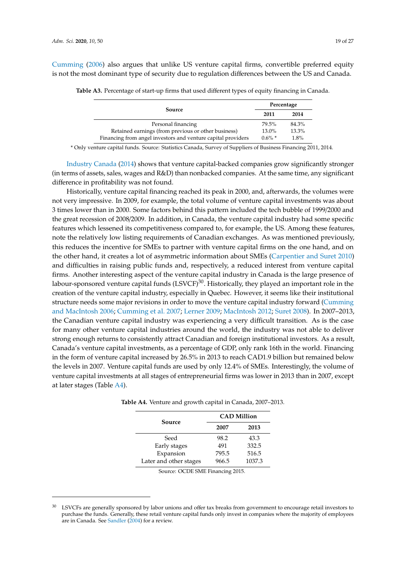<span id="page-18-0"></span>[Cumming](#page-23-19) [\(2006\)](#page-23-19) also argues that unlike US venture capital firms, convertible preferred equity is not the most dominant type of security due to regulation differences between the US and Canada.

| Source                                                       | Percentage |       |
|--------------------------------------------------------------|------------|-------|
|                                                              | 2011       | 2014  |
| Personal financing                                           | 79.5%      | 84.3% |
| Retained earnings (from previous or other business)          | 13.0%      | 13.3% |
| Financing from angel investors and venture capital providers | $0.6\%$ *  | 1.8%  |

**Table A3.** Percentage of start-up firms that used different types of equity financing in Canada.

\* Only venture capital funds. Source: Statistics Canada, Survey of Suppliers of Business Financing 2011, 2014.

[Industry Canada](#page-24-20) [\(2014\)](#page-24-20) shows that venture capital-backed companies grow significantly stronger (in terms of assets, sales, wages and R&D) than nonbacked companies. At the same time, any significant difference in profitability was not found.

Historically, venture capital financing reached its peak in 2000, and, afterwards, the volumes were not very impressive. In 2009, for example, the total volume of venture capital investments was about 3 times lower than in 2000. Some factors behind this pattern included the tech bubble of 1999/2000 and the great recession of 2008/2009. In addition, in Canada, the venture capital industry had some specific features which lessened its competitiveness compared to, for example, the US. Among these features, note the relatively low listing requirements of Canadian exchanges. As was mentioned previously, this reduces the incentive for SMEs to partner with venture capital firms on the one hand, and on the other hand, it creates a lot of asymmetric information about SMEs [\(Carpentier and Suret](#page-23-7) [2010\)](#page-23-7) and difficulties in raising public funds and, respectively, a reduced interest from venture capital firms. Another interesting aspect of the venture capital industry in Canada is the large presence of labour-sponsored venture capital funds  $(LSVCF)^{30}$ . Historically, they played an important role in the creation of the venture capital industry, especially in Quebec. However, it seems like their institutional structure needs some major revisions in order to move the venture capital industry forward [\(Cumming](#page-23-2) [and MacIntosh](#page-23-2) [2006;](#page-23-2) [Cumming et al.](#page-23-8) [2007;](#page-23-8) [Lerner](#page-25-5) [2009;](#page-25-5) [MacIntosh](#page-25-6) [2012;](#page-25-6) [Suret](#page-26-0) [2008\)](#page-26-0). In 2007–2013, the Canadian venture capital industry was experiencing a very difficult transition. As is the case for many other venture capital industries around the world, the industry was not able to deliver strong enough returns to consistently attract Canadian and foreign institutional investors. As a result, Canada's venture capital investments, as a percentage of GDP, only rank 16th in the world. Financing in the form of venture capital increased by 26.5% in 2013 to reach CAD1.9 billion but remained below the levels in 2007. Venture capital funds are used by only 12.4% of SMEs. Interestingly, the volume of venture capital investments at all stages of entrepreneurial firms was lower in 2013 than in 2007, except at later stages (Table [A4\)](#page-18-1).

| Source                 | <b>CAD Million</b> |        |  |
|------------------------|--------------------|--------|--|
|                        | 2007               | 2013   |  |
| Seed                   | 98.2               | 43.3   |  |
| Early stages           | 491                | 332.5  |  |
| Expansion              | 795.5              | 516.5  |  |
| Later and other stages | 966.5              | 1037.3 |  |

<span id="page-18-1"></span>**Table A4.** Venture and growth capital in Canada, 2007–2013.

Source: OCDE SME Financing 2015.

<sup>&</sup>lt;sup>30</sup> LSVCFs are generally sponsored by labor unions and offer tax breaks from government to encourage retail investors to purchase the funds. Generally, these retail venture capital funds only invest in companies where the majority of employees are in Canada. See [Sandler](#page-25-18) [\(2004\)](#page-25-18) for a review.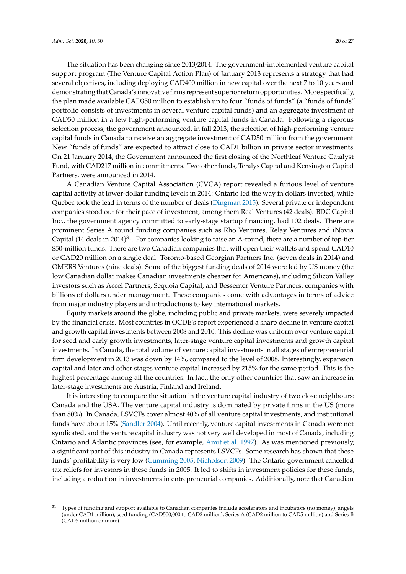The situation has been changing since 2013/2014. The government-implemented venture capital support program (The Venture Capital Action Plan) of January 2013 represents a strategy that had several objectives, including deploying CAD400 million in new capital over the next 7 to 10 years and demonstrating that Canada's innovative firms represent superior return opportunities. More specifically, the plan made available CAD350 million to establish up to four "funds of funds" (a "funds of funds" portfolio consists of investments in several venture capital funds) and an aggregate investment of CAD50 million in a few high-performing venture capital funds in Canada. Following a rigorous selection process, the government announced, in fall 2013, the selection of high-performing venture capital funds in Canada to receive an aggregate investment of CAD50 million from the government. New "funds of funds" are expected to attract close to CAD1 billion in private sector investments. On 21 January 2014, the Government announced the first closing of the Northleaf Venture Catalyst Fund, with CAD217 million in commitments. Two other funds, Teralys Capital and Kensington Capital Partners, were announced in 2014.

A Canadian Venture Capital Association (CVCA) report revealed a furious level of venture capital activity at lower-dollar funding levels in 2014: Ontario led the way in dollars invested, while Quebec took the lead in terms of the number of deals [\(Dingman](#page-23-20) [2015\)](#page-23-20). Several private or independent companies stood out for their pace of investment, among them Real Ventures (42 deals). BDC Capital Inc., the government agency committed to early-stage startup financing, had 102 deals. There are prominent Series A round funding companies such as Rho Ventures, Relay Ventures and iNovia Capital (14 deals in 2014)<sup>31</sup>. For companies looking to raise an A-round, there are a number of top-tier \$50-million funds. There are two Canadian companies that will open their wallets and spend CAD10 or CAD20 million on a single deal: Toronto-based Georgian Partners Inc. (seven deals in 2014) and OMERS Ventures (nine deals). Some of the biggest funding deals of 2014 were led by US money (the low Canadian dollar makes Canadian investments cheaper for Americans), including Silicon Valley investors such as Accel Partners, Sequoia Capital, and Bessemer Venture Partners, companies with billions of dollars under management. These companies come with advantages in terms of advice from major industry players and introductions to key international markets.

Equity markets around the globe, including public and private markets, were severely impacted by the financial crisis. Most countries in OCDE's report experienced a sharp decline in venture capital and growth capital investments between 2008 and 2010. This decline was uniform over venture capital for seed and early growth investments, later-stage venture capital investments and growth capital investments. In Canada, the total volume of venture capital investments in all stages of entrepreneurial firm development in 2013 was down by 14%, compared to the level of 2008. Interestingly, expansion capital and later and other stages venture capital increased by 215% for the same period. This is the highest percentage among all the countries. In fact, the only other countries that saw an increase in later-stage investments are Austria, Finland and Ireland.

It is interesting to compare the situation in the venture capital industry of two close neighbours: Canada and the USA. The venture capital industry is dominated by private firms in the US (more than 80%). In Canada, LSVCFs cover almost 40% of all venture capital investments, and institutional funds have about 15% [\(Sandler](#page-25-18) [2004\)](#page-25-18). Until recently, venture capital investments in Canada were not syndicated, and the venture capital industry was not very well developed in most of Canada, including Ontario and Atlantic provinces (see, for example, [Amit et al.](#page-22-4) [1997\)](#page-22-4). As was mentioned previously, a significant part of this industry in Canada represents LSVCFs. Some research has shown that these funds' profitability is very low [\(Cumming](#page-23-21) [2005;](#page-23-21) [Nicholson](#page-25-19) [2009\)](#page-25-19). The Ontario government cancelled tax reliefs for investors in these funds in 2005. It led to shifts in investment policies for these funds, including a reduction in investments in entrepreneurial companies. Additionally, note that Canadian

 $31$  Types of funding and support available to Canadian companies include accelerators and incubators (no money), angels (under CAD1 million), seed funding (CAD500,000 to CAD2 million), Series A (CAD2 million to CAD5 million) and Series B (CAD5 million or more).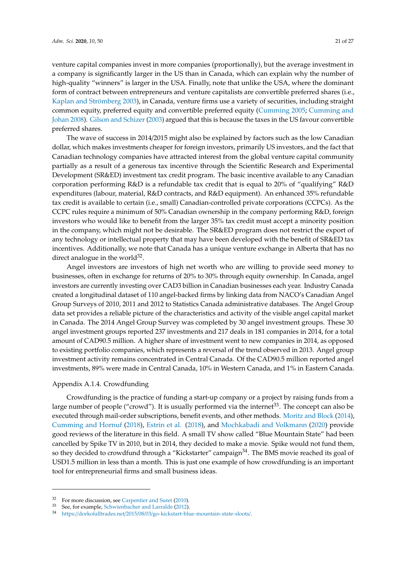venture capital companies invest in more companies (proportionally), but the average investment in a company is significantly larger in the US than in Canada, which can explain why the number of high-quality "winners" is larger in the USA. Finally, note that unlike the USA, where the dominant form of contract between entrepreneurs and venture capitalists are convertible preferred shares (i.e., [Kaplan and Strömberg](#page-24-21) [2003\)](#page-24-21), in Canada, venture firms use a variety of securities, including straight common equity, preferred equity and convertible preferred equity [\(Cumming](#page-23-21) [2005;](#page-23-21) [Cumming and](#page-23-22) [Johan](#page-23-22) [2008\)](#page-23-22). [Gilson and Schizer](#page-24-22) [\(2003\)](#page-24-22) argued that this is because the taxes in the US favour convertible preferred shares.

The wave of success in 2014/2015 might also be explained by factors such as the low Canadian dollar, which makes investments cheaper for foreign investors, primarily US investors, and the fact that Canadian technology companies have attracted interest from the global venture capital community partially as a result of a generous tax incentive through the Scientific Research and Experimental Development (SR&ED) investment tax credit program. The basic incentive available to any Canadian corporation performing R&D is a refundable tax credit that is equal to 20% of "qualifying" R&D expenditures (labour, material, R&D contracts, and R&D equipment). An enhanced 35% refundable tax credit is available to certain (i.e., small) Canadian-controlled private corporations (CCPCs). As the CCPC rules require a minimum of 50% Canadian ownership in the company performing R&D, foreign investors who would like to benefit from the larger 35% tax credit must accept a minority position in the company, which might not be desirable. The SR&ED program does not restrict the export of any technology or intellectual property that may have been developed with the benefit of SR&ED tax incentives. Additionally, we note that Canada has a unique venture exchange in Alberta that has no direct analogue in the world $32$ .

Angel investors are investors of high net worth who are willing to provide seed money to businesses, often in exchange for returns of 20% to 30% through equity ownership. In Canada, angel investors are currently investing over CAD3 billion in Canadian businesses each year. Industry Canada created a longitudinal dataset of 110 angel-backed firms by linking data from NACO's Canadian Angel Group Surveys of 2010, 2011 and 2012 to Statistics Canada administrative databases. The Angel Group data set provides a reliable picture of the characteristics and activity of the visible angel capital market in Canada. The 2014 Angel Group Survey was completed by 30 angel investment groups. These 30 angel investment groups reported 237 investments and 217 deals in 181 companies in 2014, for a total amount of CAD90.5 million. A higher share of investment went to new companies in 2014, as opposed to existing portfolio companies, which represents a reversal of the trend observed in 2013. Angel group investment activity remains concentrated in Central Canada. Of the CAD90.5 million reported angel investments, 89% were made in Central Canada, 10% in Western Canada, and 1% in Eastern Canada.

# <span id="page-20-0"></span>Appendix A.1.4. Crowdfunding

Crowdfunding is the practice of funding a start-up company or a project by raising funds from a large number of people ("crowd"). It is usually performed via the internet<sup>33</sup>. The concept can also be executed through mail-order subscriptions, benefit events, and other methods. [Moritz and Block](#page-25-20) [\(2014\)](#page-25-20), [Cumming and Hornuf](#page-23-23) [\(2018\)](#page-23-23), [Estrin et al.](#page-23-24) [\(2018\)](#page-23-24), and [Mochkabadi and Volkmann](#page-25-21) [\(2020\)](#page-25-21) provide good reviews of the literature in this field. A small TV show called "Blue Mountain State" had been cancelled by Spike TV in 2010, but in 2014, they decided to make a movie. Spike would not fund them, so they decided to crowdfund through a "Kickstarter" campaign<sup>34</sup>. The BMS movie reached its goal of USD1.5 million in less than a month. This is just one example of how crowdfunding is an important tool for entrepreneurial firms and small business ideas.

<sup>32</sup> For more discussion, see [Carpentier and Suret](#page-23-7) [\(2010\)](#page-23-7).

<sup>33</sup> See, for example, [Schwienbacher and Larralde](#page-25-22) [\(2012\)](#page-25-22).

<sup>34</sup> https://dorkofalltrades.net/2015/08/03/[go-kickstart-blue-mountain-state-sloots](https://dorkofalltrades.net/2015/08/03/go-kickstart-blue-mountain-state-sloots/)/.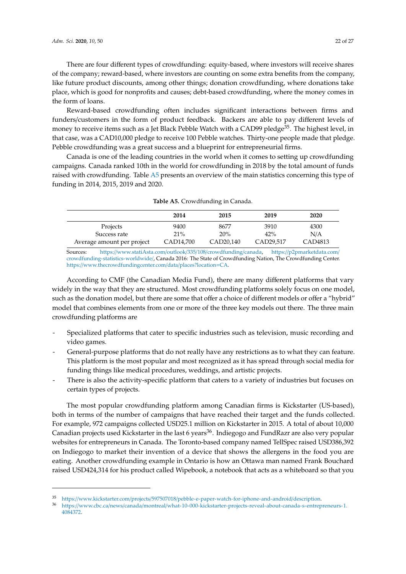There are four different types of crowdfunding: equity-based, where investors will receive shares of the company; reward-based, where investors are counting on some extra benefits from the company, like future product discounts, among other things; donation crowdfunding, where donations take place, which is good for nonprofits and causes; debt-based crowdfunding, where the money comes in the form of loans.

Reward-based crowdfunding often includes significant interactions between firms and funders/customers in the form of product feedback. Backers are able to pay different levels of money to receive items such as a Jet Black Pebble Watch with a CAD99 pledge<sup>35</sup>. The highest level, in that case, was a CAD10,000 pledge to receive 100 Pebble watches. Thirty-one people made that pledge. Pebble crowdfunding was a great success and a blueprint for entrepreneurial firms.

Canada is one of the leading countries in the world when it comes to setting up crowdfunding campaigns. Canada ranked 10th in the world for crowdfunding in 2018 by the total amount of funds raised with crowdfunding. Table [A5](#page-21-0) presents an overview of the main statistics concerning this type of funding in 2014, 2015, 2019 and 2020.

<span id="page-21-0"></span>

|                            | 2014      | 2015      | 2019      | 2020    |
|----------------------------|-----------|-----------|-----------|---------|
| Projects                   | 9400      | 8677      | 3910      | 4300    |
| Success rate               | 21%       | 20%       | 42%       | N/A     |
| Average amount per project | CAD14,700 | CAD20,140 | CAD29,517 | CAD4813 |

Sources: https://[www.statiAsta.com](https://www.statiAsta.com/outlook/335/108/crowdfunding/canada)/outlook/335/108/crowdfunding/canada, https://[p2pmarketdata.com](https://p2pmarketdata.com/crowdfunding-statistics-worldwide/)/ [crowdfunding-statistics-worldwide](https://p2pmarketdata.com/crowdfunding-statistics-worldwide/)/, Canada 2016: The State of Crowdfunding Nation, The Crowdfunding Center. https://[www.thecrowdfundingcenter.com](https://www.thecrowdfundingcenter.com/data/places?location=CA)/data/places?location=CA.

According to CMF (the Canadian Media Fund), there are many different platforms that vary widely in the way that they are structured. Most crowdfunding platforms solely focus on one model, such as the donation model, but there are some that offer a choice of different models or offer a "hybrid" model that combines elements from one or more of the three key models out there. The three main crowdfunding platforms are

- Specialized platforms that cater to specific industries such as television, music recording and video games.
- General-purpose platforms that do not really have any restrictions as to what they can feature. This platform is the most popular and most recognized as it has spread through social media for funding things like medical procedures, weddings, and artistic projects.
- There is also the activity-specific platform that caters to a variety of industries but focuses on certain types of projects.

The most popular crowdfunding platform among Canadian firms is Kickstarter (US-based), both in terms of the number of campaigns that have reached their target and the funds collected. For example, 972 campaigns collected USD25.1 million on Kickstarter in 2015. A total of about 10,000 Canadian projects used Kickstarter in the last 6 years<sup>36</sup>. Indiegogo and FundRazr are also very popular websites for entrepreneurs in Canada. The Toronto-based company named TellSpec raised USD386,392 on Indiegogo to market their invention of a device that shows the allergens in the food you are eating. Another crowdfunding example in Ontario is how an Ottawa man named Frank Bouchard raised USD424,314 for his product called Wipebook, a notebook that acts as a whiteboard so that you

<sup>35</sup> https://www.kickstarter.com/projects/597507018/[pebble-e-paper-watch-for-iphone-and-android](https://www.kickstarter.com/projects/597507018/pebble-e-paper-watch-for-iphone-and-android/description)/description.

<sup>36</sup> https://www.cbc.ca/news/canada/montreal/[what-10-000-kickstarter-projects-reveal-about-canada-s-entrepreneurs-1.](https://www.cbc.ca/news/canada/montreal/what-10-000-kickstarter-projects-reveal-about-canada-s-entrepreneurs-1.4084372) [4084372.](https://www.cbc.ca/news/canada/montreal/what-10-000-kickstarter-projects-reveal-about-canada-s-entrepreneurs-1.4084372)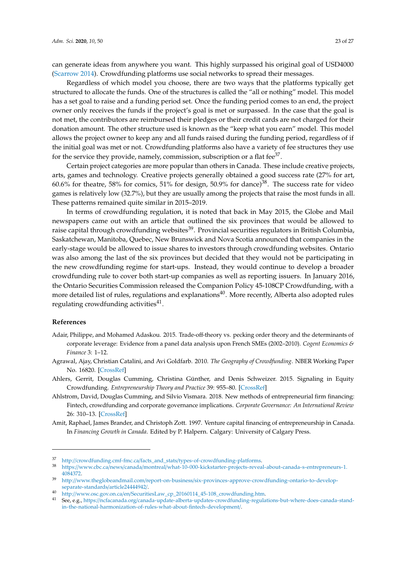can generate ideas from anywhere you want. This highly surpassed his original goal of USD4000 [\(Scarrow](#page-25-23) [2014\)](#page-25-23). Crowdfunding platforms use social networks to spread their messages.

Regardless of which model you choose, there are two ways that the platforms typically get structured to allocate the funds. One of the structures is called the "all or nothing" model. This model has a set goal to raise and a funding period set. Once the funding period comes to an end, the project owner only receives the funds if the project's goal is met or surpassed. In the case that the goal is not met, the contributors are reimbursed their pledges or their credit cards are not charged for their donation amount. The other structure used is known as the "keep what you earn" model. This model allows the project owner to keep any and all funds raised during the funding period, regardless of if the initial goal was met or not. Crowdfunding platforms also have a variety of fee structures they use for the service they provide, namely, commission, subscription or a flat fee $^{37}$ .

Certain project categories are more popular than others in Canada. These include creative projects, arts, games and technology. Creative projects generally obtained a good success rate (27% for art, 60.6% for theatre, 58% for comics, 51% for design, 50.9% for dance) $38$ . The success rate for video games is relatively low (32.7%), but they are usually among the projects that raise the most funds in all. These patterns remained quite similar in 2015–2019.

In terms of crowdfunding regulation, it is noted that back in May 2015, the Globe and Mail newspapers came out with an article that outlined the six provinces that would be allowed to raise capital through crowdfunding websites<sup>39</sup>. Provincial securities regulators in British Columbia, Saskatchewan, Manitoba, Quebec, New Brunswick and Nova Scotia announced that companies in the early-stage would be allowed to issue shares to investors through crowdfunding websites. Ontario was also among the last of the six provinces but decided that they would not be participating in the new crowdfunding regime for start-ups. Instead, they would continue to develop a broader crowdfunding rule to cover both start-up companies as well as reporting issuers. In January 2016, the Ontario Securities Commission released the Companion Policy 45-108CP Crowdfunding, with a more detailed list of rules, regulations and explanations<sup>40</sup>. More recently, Alberta also adopted rules regulating crowdfunding activities $^{41}$ .

# **References**

- <span id="page-22-3"></span>Adair, Philippe, and Mohamed Adaskou. 2015. Trade-off-theory vs. pecking order theory and the determinants of corporate leverage: Evidence from a panel data analysis upon French SMEs (2002–2010). *Cogent Economics & Finance* 3: 1–12.
- <span id="page-22-1"></span>Agrawal, Ajay, Christian Catalini, and Avi Goldfarb. 2010. *The Geography of Crowdfunding*. NBER Working Paper No. 16820. [\[CrossRef\]](http://dx.doi.org/10.2139/ssrn.1692661)
- <span id="page-22-0"></span>Ahlers, Gerrit, Douglas Cumming, Christina Günther, and Denis Schweizer. 2015. Signaling in Equity Crowdfunding. *Entrepreneurship Theory and Practice* 39: 955–80. [\[CrossRef\]](http://dx.doi.org/10.1111/etap.12157)
- <span id="page-22-2"></span>Ahlstrom, David, Douglas Cumming, and Silvio Vismara. 2018. New methods of entrepreneurial firm financing: Fintech, crowdfunding and corporate governance implications. *Corporate Governance: An International Review* 26: 310–13. [\[CrossRef\]](http://dx.doi.org/10.1111/corg.12258)
- <span id="page-22-4"></span>Amit, Raphael, James Brander, and Christoph Zott. 1997. Venture capital financing of entrepreneurship in Canada. In *Financing Growth in Canada*. Edited by P. Halpern. Calgary: University of Calgary Press.

<sup>37</sup> http://crowdfunding.cmf-fmc.ca/facts\_and\_stats/[types-of-crowdfunding-platforms.](http://crowdfunding.cmf-fmc.ca/facts_and_stats/types-of-crowdfunding-platforms)

<sup>38</sup> https://www.cbc.ca/news/canada/montreal/[what-10-000-kickstarter-projects-reveal-about-canada-s-entrepreneurs-1.](https://www.cbc.ca/news/canada/montreal/what-10-000-kickstarter-projects-reveal-about-canada-s-entrepreneurs-1.4084372) [4084372.](https://www.cbc.ca/news/canada/montreal/what-10-000-kickstarter-projects-reveal-about-canada-s-entrepreneurs-1.4084372)

<sup>39</sup> http://www.theglobeandmail.com/report-on-business/[six-provinces-approve-crowdfunding-ontario-to-develop](http://www.theglobeandmail.com/report-on-business/six-provinces-approve-crowdfunding-ontario-to-develop-separate-standards/article24444942/)[separate-standards](http://www.theglobeandmail.com/report-on-business/six-provinces-approve-crowdfunding-ontario-to-develop-separate-standards/article24444942/)/article24444942/.

<sup>40</sup> http://www.osc.gov.on.ca/en/[SecuritiesLaw\\_cp\\_20160114\\_45-108\\_crowdfunding.htm.](http://www.osc.gov.on.ca/en/SecuritiesLaw_cp_20160114_45-108_crowdfunding.htm)

<sup>41</sup> See, e.g., https://ncfacanada.org/[canada-update-alberta-updates-crowdfunding-regulations-but-where-does-canada-stand](https://ncfacanada.org/canada-update-alberta-updates-crowdfunding-regulations-but-where-does-canada-stand-in-the-national-harmonization-of-rules-what-about-fintech-development/)[in-the-national-harmonization-of-rules-what-about-fintech-development](https://ncfacanada.org/canada-update-alberta-updates-crowdfunding-regulations-but-where-does-canada-stand-in-the-national-harmonization-of-rules-what-about-fintech-development/)/.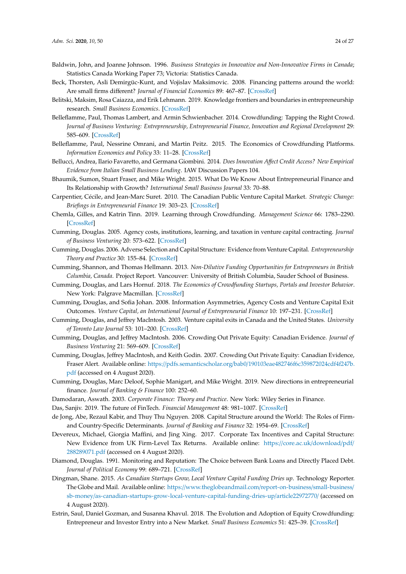- <span id="page-23-11"></span>Baldwin, John, and Joanne Johnson. 1996. *Business Strategies in Innovative and Non-Innovative Firms in Canada*; Statistics Canada Working Paper 73; Victoria: Statistics Canada.
- <span id="page-23-6"></span>Beck, Thorsten, Asli Demirgüc-Kunt, and Vojislav Maksimovic. 2008. Financing patterns around the world: Are small firms different? *Journal of Financial Economics* 89: 467–87. [\[CrossRef\]](http://dx.doi.org/10.1016/j.jfineco.2007.10.005)
- <span id="page-23-17"></span>Belitski, Maksim, Rosa Caiazza, and Erik Lehmann. 2019. Knowledge frontiers and boundaries in entrepreneurship research. *Small Business Economics*. [\[CrossRef\]](http://dx.doi.org/10.1007/s11187-019-00187-0)
- <span id="page-23-13"></span>Belleflamme, Paul, Thomas Lambert, and Armin Schwienbacher. 2014. Crowdfunding: Tapping the Right Crowd. *Journal of Business Venturing: Entrepreneurship, Entrepreneurial Finance, Innovation and Regional Development* 29: 585–609. [\[CrossRef\]](http://dx.doi.org/10.1016/j.jbusvent.2013.07.003)
- <span id="page-23-14"></span>Belleflamme, Paul, Nessrine Omrani, and Martin Peitz. 2015. The Economics of Crowdfunding Platforms. *Information Economics and Policy* 33: 11–28. [\[CrossRef\]](http://dx.doi.org/10.1016/j.infoecopol.2015.08.003)
- <span id="page-23-15"></span>Bellucci, Andrea, Ilario Favaretto, and Germana Giombini. 2014. *Does Innovation A*ff*ect Credit Access? New Empirical Evidence from Italian Small Business Lending*. IAW Discussion Papers 104.
- <span id="page-23-10"></span>Bhaumik, Sumon, Stuart Fraser, and Mike Wright. 2015. What Do We Know About Entrepreneurial Finance and Its Relationship with Growth? *International Small Business Journal* 33: 70–88.
- <span id="page-23-7"></span>Carpentier, Cécile, and Jean-Marc Suret. 2010. The Canadian Public Venture Capital Market. *Strategic Change: Briefings in Entrepreneurial Finance* 19: 303–23. [\[CrossRef\]](http://dx.doi.org/10.1002/jsc.878)
- <span id="page-23-16"></span>Chemla, Gilles, and Katrin Tinn. 2019. Learning through Crowdfunding. *Management Science* 66: 1783–2290. [\[CrossRef\]](http://dx.doi.org/10.1287/mnsc.2018.3278)
- <span id="page-23-21"></span>Cumming, Douglas. 2005. Agency costs, institutions, learning, and taxation in venture capital contracting. *Journal of Business Venturing* 20: 573–622. [\[CrossRef\]](http://dx.doi.org/10.1016/j.jbusvent.2003.07.001)
- <span id="page-23-19"></span>Cumming, Douglas. 2006. Adverse Selection and Capital Structure: Evidence from Venture Capital. *Entrepreneurship Theory and Practice* 30: 155–84. [\[CrossRef\]](http://dx.doi.org/10.1111/j.1540-6520.2006.00116.x)
- <span id="page-23-18"></span>Cumming, Shannon, and Thomas Hellmann. 2013. *Non-Dilutive Funding Opportunities for Entrepreneurs in British Columbia, Canada*. Project Report. Vancouver: University of British Columbia, Sauder School of Business.
- <span id="page-23-23"></span>Cumming, Douglas, and Lars Hornuf. 2018. *The Economics of Crowdfunding Startups, Portals and Investor Behavior*. New York: Palgrave Macmillan. [\[CrossRef\]](http://dx.doi.org/10.1007/978-3-319-66119-3)
- <span id="page-23-22"></span>Cumming, Douglas, and Sofia Johan. 2008. Information Asymmetries, Agency Costs and Venture Capital Exit Outcomes. *Venture Capital, an International Journal of Entrepreneurial Finance* 10: 197–231. [\[CrossRef\]](http://dx.doi.org/10.1080/13691060802151788)
- <span id="page-23-1"></span>Cumming, Douglas, and Jeffrey MacIntosh. 2003. Venture capital exits in Canada and the United States. *University of Toronto Law Journal* 53: 101–200. [\[CrossRef\]](http://dx.doi.org/10.2307/3650880)
- <span id="page-23-2"></span>Cumming, Douglas, and Jeffrey MacIntosh. 2006. Crowding Out Private Equity: Canadian Evidence. *Journal of Business Venturing* 21: 569–609. [\[CrossRef\]](http://dx.doi.org/10.1016/j.jbusvent.2005.06.002)
- <span id="page-23-8"></span>Cumming, Douglas, Jeffrey MacIntosh, and Keith Godin. 2007. Crowding Out Private Equity: Canadian Evidence, Fraser Alert. Available online: https://pdfs.semanticscholar.org/bab0/[190103eae482746f6c359872024cdf4f247b.](https://pdfs.semanticscholar.org/bab0/190103eae482746f6c359872024cdf4f247b.pdf) [pdf](https://pdfs.semanticscholar.org/bab0/190103eae482746f6c359872024cdf4f247b.pdf) (accessed on 4 August 2020).
- <span id="page-23-9"></span>Cumming, Douglas, Marc Deloof, Sophie Manigart, and Mike Wright. 2019. New directions in entrepreneurial finance. *Journal of Banking & Finance* 100: 252–60.
- <span id="page-23-4"></span>Damodaran, Aswath. 2003. *Corporate Finance: Theory and Practice*. New York: Wiley Series in Finance.
- <span id="page-23-5"></span>Das, Sanjiv. 2019. The future of FinTech. *Financial Management* 48: 981–1007. [\[CrossRef\]](http://dx.doi.org/10.1111/fima.12297)
- <span id="page-23-0"></span>de Jong, Abe, Rezaul Kabir, and Thuy Thu Nguyen. 2008. Capital Structure around the World: The Roles of Firmand Country-Specific Determinants. *Journal of Banking and Finance* 32: 1954–69. [\[CrossRef\]](http://dx.doi.org/10.1016/j.jbankfin.2007.12.034)
- <span id="page-23-12"></span>Devereux, Michael, Giorgia Maffini, and Jing Xing. 2017. Corporate Tax Incentives and Capital Structure: New Evidence from UK Firm-Level Tax Returns. Available online: https://core.ac.uk/[download](https://core.ac.uk/download/pdf/288289071.pdf)/pdf/ [288289071.pdf](https://core.ac.uk/download/pdf/288289071.pdf) (accessed on 4 August 2020).
- <span id="page-23-3"></span>Diamond, Douglas. 1991. Monitoring and Reputation: The Choice between Bank Loans and Directly Placed Debt. *Journal of Political Economy* 99: 689–721. [\[CrossRef\]](http://dx.doi.org/10.1086/261775)
- <span id="page-23-20"></span>Dingman, Shane. 2015. *As Canadian Startups Grow, Local Venture Capital Funding Dries up*. Technology Reporter. The Globe and Mail. Available online: https://[www.theglobeandmail.com](https://www.theglobeandmail.com/report-on-business/small-business/sb-money/as-canadian-startups-grow-local-venture-capital-funding-dries-up/article22972770/)/report-on-business/small-business/ sb-money/[as-canadian-startups-grow-local-venture-capital-funding-dries-up](https://www.theglobeandmail.com/report-on-business/small-business/sb-money/as-canadian-startups-grow-local-venture-capital-funding-dries-up/article22972770/)/article22972770/ (accessed on 4 August 2020).
- <span id="page-23-24"></span>Estrin, Saul, Daniel Gozman, and Susanna Khavul. 2018. The Evolution and Adoption of Equity Crowdfunding: Entrepreneur and Investor Entry into a New Market. *Small Business Economics* 51: 425–39. [\[CrossRef\]](http://dx.doi.org/10.1007/s11187-018-0009-5)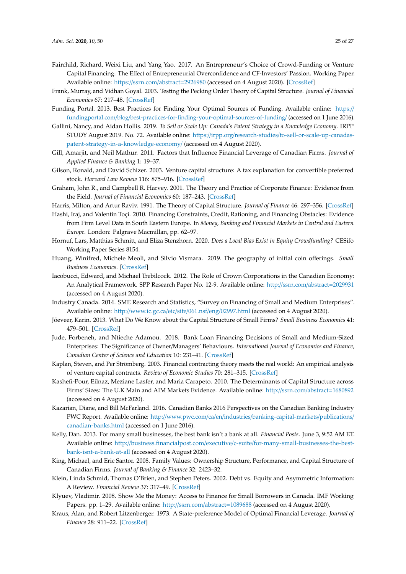- <span id="page-24-14"></span>Fairchild, Richard, Weixi Liu, and Yang Yao. 2017. An Entrepreneur's Choice of Crowd-Funding or Venture Capital Financing: The Effect of Entrepreneurial Overconfidence and CF-Investors' Passion. Working Paper. Available online: https://[ssrn.com](https://ssrn.com/abstract=2926980)/abstract=2926980 (accessed on 4 August 2020). [\[CrossRef\]](http://dx.doi.org/10.2139/ssrn.2926980)
- <span id="page-24-3"></span>Frank, Murray, and Vidhan Goyal. 2003. Testing the Pecking Order Theory of Capital Structure. *Journal of Financial Economics* 67: 217–48. [\[CrossRef\]](http://dx.doi.org/10.1016/S0304-405X(02)00252-0)
- <span id="page-24-19"></span>Funding Portal. 2013. Best Practices for Finding Your Optimal Sources of Funding. Available online: [https:](https://fundingportal.com/blog/best-practices-for-finding-your-optimal-sources-of-funding/)// fundingportal.com/blog/[best-practices-for-finding-your-optimal-sources-of-funding](https://fundingportal.com/blog/best-practices-for-finding-your-optimal-sources-of-funding/)/ (accessed on 1 June 2016).
- <span id="page-24-13"></span>Gallini, Nancy, and Aidan Hollis. 2019. *To Sell or Scale Up: Canada's Patent Strategy in a Knowledge Economy*. IRPP STUDY August 2019. No. 72. Available online: https://irpp.org/research-studies/[to-sell-or-scale-up-canadas](https://irpp.org/research-studies/to-sell-or-scale-up-canadas-patent-strategy-in-a-knowledge-economy/)[patent-strategy-in-a-knowledge-economy](https://irpp.org/research-studies/to-sell-or-scale-up-canadas-patent-strategy-in-a-knowledge-economy/)/ (accessed on 4 August 2020).
- <span id="page-24-6"></span>Gill, Amarjit, and Neil Mathur. 2011. Factors that Influence Financial Leverage of Canadian Firms. *Journal of Applied Finance & Banking* 1: 19–37.
- <span id="page-24-22"></span>Gilson, Ronald, and David Schizer. 2003. Venture capital structure: A tax explanation for convertible preferred stock. *Harvard Law Review* 116: 875–916. [\[CrossRef\]](http://dx.doi.org/10.2307/1342584)
- <span id="page-24-4"></span>Graham, John R., and Campbell R. Harvey. 2001. The Theory and Practice of Corporate Finance: Evidence from the Field. *Journal of Financial Economics* 60: 187–243. [\[CrossRef\]](http://dx.doi.org/10.1016/S0304-405X(01)00044-7)
- <span id="page-24-10"></span><span id="page-24-1"></span>Harris, Milton, and Artur Raviv. 1991. The Theory of Capital Structure. *Journal of Finance* 46: 297–356. [\[CrossRef\]](http://dx.doi.org/10.1111/j.1540-6261.1991.tb03753.x)
- Hashi, Iraj, and Valentin Toçi. 2010. Financing Constraints, Credit, Rationing, and Financing Obstacles: Evidence from Firm Level Data in South Eastern Europe. In *Money, Banking and Financial Markets in Central and Eastern Europe*. London: Palgrave Macmillan, pp. 62–97.
- <span id="page-24-12"></span>Hornuf, Lars, Matthias Schmitt, and Eliza Stenzhorn. 2020. *Does a Local Bias Exist in Equity Crowdfunding?* CESifo Working Paper Series 8154.
- <span id="page-24-8"></span>Huang, Winifred, Michele Meoli, and Silvio Vismara. 2019. The geography of initial coin offerings. *Small Business Economics*. [\[CrossRef\]](http://dx.doi.org/10.1007/s11187-019-00135-y)
- <span id="page-24-18"></span>Iacobucci, Edward, and Michael Trebilcock. 2012. The Role of Crown Corporations in the Canadian Economy: An Analytical Framework. SPP Research Paper No. 12-9. Available online: http://[ssrn.com](http://ssrn.com/abstract=2029931)/abstract=2029931 (accessed on 4 August 2020).
- <span id="page-24-20"></span>Industry Canada. 2014. SME Research and Statistics, "Survey on Financing of Small and Medium Enterprises". Available online: http://[www.ic.gc.ca](http://www.ic.gc.ca/eic/site/061.nsf/eng/02997.html)/eic/site/061.nsf/eng/02997.html (accessed on 4 August 2020).
- <span id="page-24-0"></span>Jõeveer, Karin. 2013. What Do We Know about the Capital Structure of Small Firms? *Small Business Economics* 41: 479–501. [\[CrossRef\]](http://dx.doi.org/10.1007/s11187-012-9440-1)
- <span id="page-24-9"></span>Jude, Forbeneh, and Ntieche Adamou. 2018. Bank Loan Financing Decisions of Small and Medium-Sized Enterprises: The Significance of Owner/Managers' Behaviours. *International Journal of Economics and Finance, Canadian Center of Science and Education* 10: 231–41. [\[CrossRef\]](http://dx.doi.org/10.5539/ijef.v10n5p231)
- <span id="page-24-21"></span>Kaplan, Steven, and Per Strömberg. 2003. Financial contracting theory meets the real world: An empirical analysis of venture capital contracts. *Review of Economic Studies* 70: 281–315. [\[CrossRef\]](http://dx.doi.org/10.1111/1467-937X.00245)
- <span id="page-24-11"></span>Kashefi-Pour, Eilnaz, Meziane Lasfer, and Maria Carapeto. 2010. The Determinants of Capital Structure across Firms' Sizes: The U.K Main and AIM Markets Evidence. Available online: http://[ssrn.com](http://ssrn.com/abstract=1680892)/abstract=1680892 (accessed on 4 August 2020).
- <span id="page-24-16"></span>Kazarian, Diane, and Bill McFarland. 2016. Canadian Banks 2016 Perspectives on the Canadian Banking Industry PWC Report. Available online: http://www.pwc.com/ca/en/industries/[banking-capital-markets](http://www.pwc.com/ca/en/industries/banking-capital-markets/publications/canadian-banks.html)/publications/ [canadian-banks.html](http://www.pwc.com/ca/en/industries/banking-capital-markets/publications/canadian-banks.html) (accessed on 1 June 2016).
- <span id="page-24-17"></span>Kelly, Dan. 2013. For many small businesses, the best bank isn't a bank at all. *Financial Posts*. June 3, 9:52 AM ET. Available online: http://business.financialpost.com/executive/c-suite/[for-many-small-businesses-the-best](http://business.financialpost.com/executive/c-suite/for-many-small-businesses-the-best-bank-isnt-a-bank-at-all)[bank-isnt-a-bank-at-all](http://business.financialpost.com/executive/c-suite/for-many-small-businesses-the-best-bank-isnt-a-bank-at-all) (accessed on 4 August 2020).
- <span id="page-24-5"></span>King, Michael, and Eric Santor. 2008. Family Values: Ownership Structure, Performance, and Capital Structure of Canadian Firms. *Journal of Banking & Finance* 32: 2423–32.
- <span id="page-24-2"></span>Klein, Linda Schmid, Thomas O'Brien, and Stephen Peters. 2002. Debt vs. Equity and Asymmetric Information: A Review. *Financial Review* 37: 317–49. [\[CrossRef\]](http://dx.doi.org/10.1111/1540-6288.00017)
- <span id="page-24-15"></span>Klyuev, Vladimir. 2008. Show Me the Money: Access to Finance for Small Borrowers in Canada. IMF Working Papers. pp. 1–29. Available online: http://[ssrn.com](http://ssrn.com/abstract=1089688)/abstract=1089688 (accessed on 4 August 2020).
- <span id="page-24-7"></span>Kraus, Alan, and Robert Litzenberger. 1973. A State-preference Model of Optimal Financial Leverage. *Journal of Finance* 28: 911–22. [\[CrossRef\]](http://dx.doi.org/10.1111/j.1540-6261.1973.tb01415.x)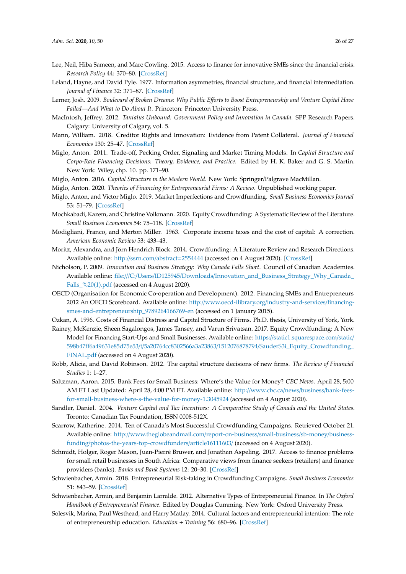- <span id="page-25-1"></span>Lee, Neil, Hiba Sameen, and Marc Cowling. 2015. Access to finance for innovative SMEs since the financial crisis. *Research Policy* 44: 370–80. [\[CrossRef\]](http://dx.doi.org/10.1016/j.respol.2014.09.008)
- <span id="page-25-4"></span>Leland, Hayne, and David Pyle. 1977. Information asymmetries, financial structure, and financial intermediation. *Journal of Finance* 32: 371–87. [\[CrossRef\]](http://dx.doi.org/10.2307/2326770)
- <span id="page-25-5"></span>Lerner, Josh. 2009. *Boulevard of Broken Dreams: Why Public E*ff*orts to Boost Entrepreneurship and Venture Capital Have Failed—And What to Do About It*. Princeton: Princeton University Press.
- <span id="page-25-6"></span>MacIntosh, Jeffrey. 2012. *Tantalus Unbound: Government Policy and Innovation in Canada*. SPP Research Papers. Calgary: University of Calgary, vol. 5.
- <span id="page-25-14"></span>Mann, William. 2018. Creditor Rights and Innovation: Evidence from Patent Collateral. *Journal of Financial Economics* 130: 25–47. [\[CrossRef\]](http://dx.doi.org/10.1016/j.jfineco.2018.07.001)
- <span id="page-25-0"></span>Miglo, Anton. 2011. Trade-off, Pecking Order, Signaling and Market Timing Models. In *Capital Structure and Corpo-Rate Financing Decisions: Theory, Evidence, and Practice*. Edited by H. K. Baker and G. S. Martin. New York: Wiley, chp. 10. pp. 171–90.
- <span id="page-25-3"></span>Miglo, Anton. 2016. *Capital Structure in the Modern World*. New York: Springer/Palgrave MacMillan.
- <span id="page-25-13"></span>Miglo, Anton. 2020. *Theories of Financing for Entrepreneurial Firms: A Review*. Unpublished working paper.
- <span id="page-25-15"></span>Miglo, Anton, and Victor Miglo. 2019. Market Imperfections and Crowdfunding. *Small Business Economics Journal* 53: 51–79. [\[CrossRef\]](http://dx.doi.org/10.1007/s11187-018-0037-1)
- <span id="page-25-21"></span>Mochkabadi, Kazem, and Christine Volkmann. 2020. Equity Crowdfunding: A Systematic Review of the Literature. *Small Business Economics* 54: 75–118. [\[CrossRef\]](http://dx.doi.org/10.1007/s11187-018-0081-x)
- <span id="page-25-12"></span>Modigliani, Franco, and Merton Miller. 1963. Corporate income taxes and the cost of capital: A correction. *American Economic Review* 53: 433–43.
- <span id="page-25-20"></span>Moritz, Alexandra, and Jörn Hendrich Block. 2014. Crowdfunding: A Literature Review and Research Directions. Available online: http://[ssrn.com](http://ssrn.com/abstract=2554444)/abstract=2554444 (accessed on 4 August 2020). [\[CrossRef\]](http://dx.doi.org/10.2139/ssrn.2554444)
- <span id="page-25-19"></span>Nicholson, P. 2009. *Innovation and Business Strategy: Why Canada Falls Short*. Council of Canadian Academies. Available online: file:///C:/Users/ID125945/Downloads/[Innovation\\_and\\_Business\\_Strategy\\_Why\\_Canada\\_](file:///C:/Users/ID125945/Downloads/Innovation_and_Business_Strategy_Why_Canada_Falls_%20(1).pdf) [Falls\\_%20\(1\).pdf](file:///C:/Users/ID125945/Downloads/Innovation_and_Business_Strategy_Why_Canada_Falls_%20(1).pdf) (accessed on 4 August 2020).
- <span id="page-25-10"></span>OECD (Organisation for Economic Co-operation and Development). 2012. Financing SMEs and Entrepreneurs 2012 An OECD Scoreboard. Available online: http://[www.oecd-ilibrary.org](http://www.oecd-ilibrary.org/industry-and-services/financing-smes-and-entrepreneurship_9789264166769-en)/industry-and-services/financing[smes-and-entrepreneurship\\_9789264166769-en](http://www.oecd-ilibrary.org/industry-and-services/financing-smes-and-entrepreneurship_9789264166769-en) (accessed on 1 January 2015).
- <span id="page-25-11"></span>Ozkan, A. 1996. Costs of Financial Distress and Capital Structure of Firms. Ph.D. thesis, University of York, York.
- <span id="page-25-7"></span>Rainey, McKenzie, Sheen Sagalongos, James Tansey, and Varun Srivatsan. 2017. Equity Crowdfunding: A New Model for Financing Start-Ups and Small Businesses. Available online: https://[static1.squarespace.com](https://static1.squarespace.com/static/598b47ff6a49631e85d75e53/t/5a20764cc8302566a3a23863/1512076878794/SauderS3i_Equity_Crowdfunding_FINAL.pdf)/static/ 598b47ff6a49631e85d75e53/t/5a20764cc8302566a3a23863/1512076878794/[SauderS3i\\_Equity\\_Crowdfunding\\_](https://static1.squarespace.com/static/598b47ff6a49631e85d75e53/t/5a20764cc8302566a3a23863/1512076878794/SauderS3i_Equity_Crowdfunding_FINAL.pdf) [FINAL.pdf](https://static1.squarespace.com/static/598b47ff6a49631e85d75e53/t/5a20764cc8302566a3a23863/1512076878794/SauderS3i_Equity_Crowdfunding_FINAL.pdf) (accessed on 4 August 2020).
- <span id="page-25-2"></span>Robb, Alicia, and David Robinson. 2012. The capital structure decisions of new firms. *The Review of Financial Studies* 1: 1–27.
- <span id="page-25-17"></span>Saltzman, Aaron. 2015. Bank Fees for Small Business: Where's the Value for Money? *CBC News*. April 28, 5:00 AM ET Last Updated: April 28, 4:00 PM ET. Available online: http://[www.cbc.ca](http://www.cbc.ca/news/business/bank-fees-for-small-business-where-s-the-value-for-money-1.3045924)/news/business/bank-fees[for-small-business-where-s-the-value-for-money-1.3045924](http://www.cbc.ca/news/business/bank-fees-for-small-business-where-s-the-value-for-money-1.3045924) (accessed on 4 August 2020).
- <span id="page-25-18"></span>Sandler, Daniel. 2004. *Venture Capital and Tax Incentives: A Comparative Study of Canada and the United States*. Toronto: Canadian Tax Foundation, ISSN 0008-512X.
- <span id="page-25-23"></span>Scarrow, Katherine. 2014. Ten of Canada's Most Successful Crowdfunding Campaigns. Retrieved October 21. Available online: http://[www.theglobeandmail.com](http://www.theglobeandmail.com/report-on-business/small-business/sb-money/business-funding/photos-the-years-top-crowdfunders/article16111603/)/report-on-business/small-business/sb-money/businessfunding/[photos-the-years-top-crowdfunders](http://www.theglobeandmail.com/report-on-business/small-business/sb-money/business-funding/photos-the-years-top-crowdfunders/article16111603/)/article16111603/ (accessed on 4 August 2020).
- <span id="page-25-8"></span>Schmidt, Holger, Roger Mason, Juan-Pierré Bruwer, and Jonathan Aspeling. 2017. Access to finance problems for small retail businesses in South Africa: Comparative views from finance seekers (retailers) and finance providers (banks). *Banks and Bank Systems* 12: 20–30. [\[CrossRef\]](http://dx.doi.org/10.21511/bbs.12(2).2017.02)
- <span id="page-25-16"></span>Schwienbacher, Armin. 2018. Entrepreneurial Risk-taking in Crowdfunding Campaigns. *Small Business Economics* 51: 843–59. [\[CrossRef\]](http://dx.doi.org/10.1007/s11187-017-9965-4)
- <span id="page-25-22"></span>Schwienbacher, Armin, and Benjamin Larralde. 2012. Alternative Types of Entrepreneurial Finance. In *The Oxford Handbook of Entrepreneurial Finance*. Edited by Douglas Cumming. New York: Oxford University Press.
- <span id="page-25-9"></span>Solesvik, Marina, Paul Westhead, and Harry Matlay. 2014. Cultural factors and entrepreneurial intention: The role of entrepreneurship education. *Education* + *Training* 56: 680–96. [\[CrossRef\]](http://dx.doi.org/10.1108/ET-07-2014-0075)